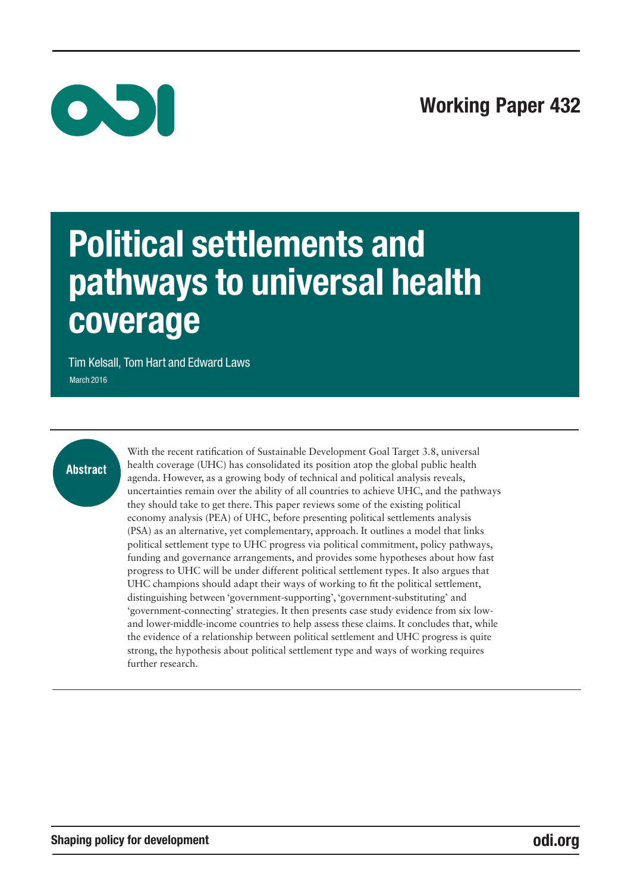

# Political settlements and pathways to universal health coverage

Tim Kelsall, Tom Hart and Edward Laws March 2016

# Abstract

With the recent ratification of Sustainable Development Goal Target 3.8, universal health coverage (UHC) has consolidated its position atop the global public health agenda. However, as a growing body of technical and political analysis reveals, uncertainties remain over the ability of all countries to achieve UHC, and the pathways they should take to get there. This paper reviews some of the existing political economy analysis (PEA) of UHC, before presenting political settlements analysis (PSA) as an alternative, yet complementary, approach. It outlines a model that links political settlement type to UHC progress via political commitment, policy pathways, funding and governance arrangements, and provides some hypotheses about how fast progress to UHC will be under different political settlement types. It also argues that UHC champions should adapt their ways of working to fit the political settlement, distinguishing between 'government-supporting', 'government-substituting' and 'government-connecting' strategies. It then presents case study evidence from six lowand lower-middle-income countries to help assess these claims. It concludes that, while the evidence of a relationship between political settlement and UHC progress is quite strong, the hypothesis about political settlement type and ways of working requires further research.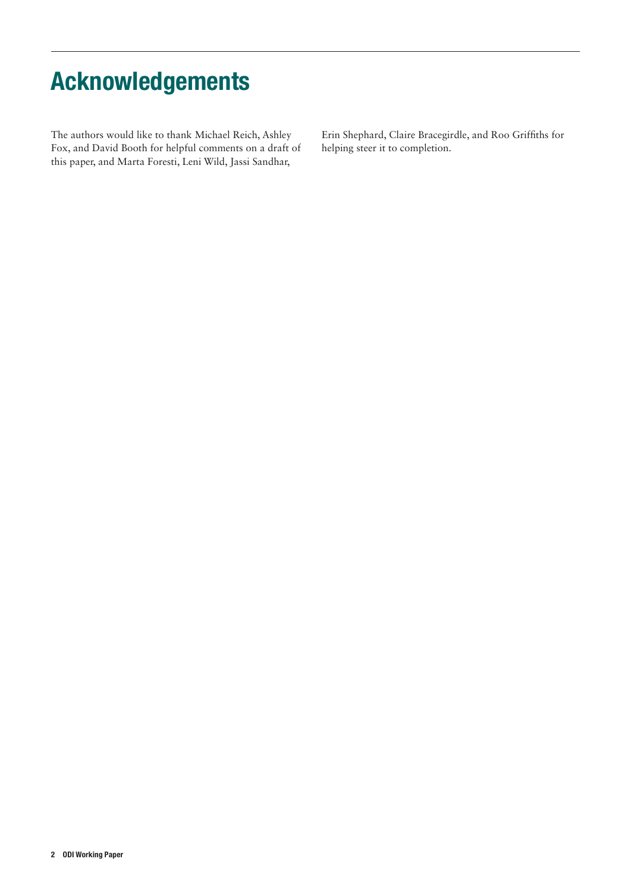# Acknowledgements

The authors would like to thank Michael Reich, Ashley Fox, and David Booth for helpful comments on a draft of this paper, and Marta Foresti, Leni Wild, Jassi Sandhar,

Erin Shephard, Claire Bracegirdle, and Roo Griffiths for helping steer it to completion.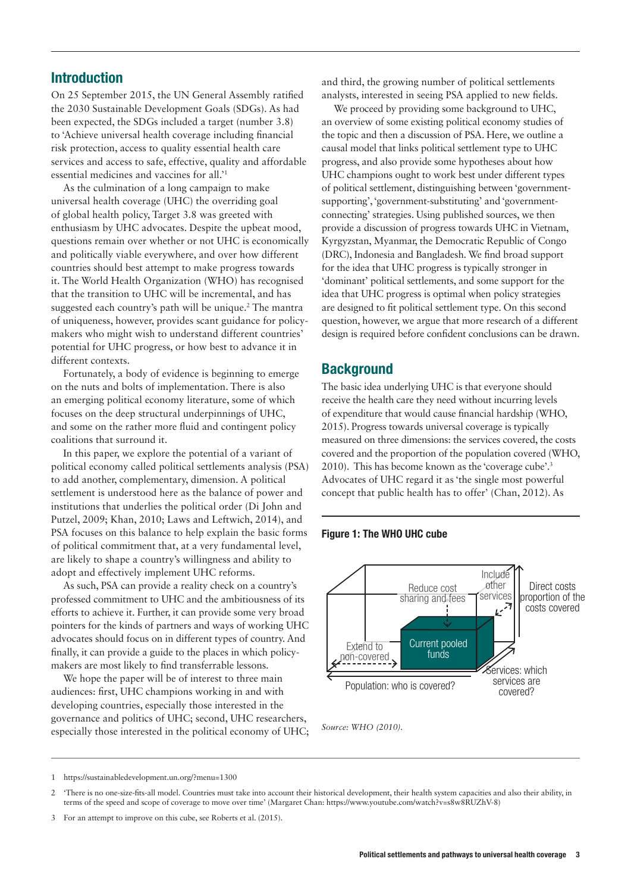# Introduction

On 25 September 2015, the UN General Assembly ratified the 2030 Sustainable Development Goals (SDGs). As had been expected, the SDGs included a target (number 3.8) to 'Achieve universal health coverage including financial risk protection, access to quality essential health care services and access to safe, effective, quality and affordable essential medicines and vaccines for all.'1

As the culmination of a long campaign to make universal health coverage (UHC) the overriding goal of global health policy, Target 3.8 was greeted with enthusiasm by UHC advocates. Despite the upbeat mood, questions remain over whether or not UHC is economically and politically viable everywhere, and over how different countries should best attempt to make progress towards it. The World Health Organization (WHO) has recognised that the transition to UHC will be incremental, and has suggested each country's path will be unique.<sup>2</sup> The mantra of uniqueness, however, provides scant guidance for policymakers who might wish to understand different countries' potential for UHC progress, or how best to advance it in different contexts.

Fortunately, a body of evidence is beginning to emerge on the nuts and bolts of implementation. There is also an emerging political economy literature, some of which focuses on the deep structural underpinnings of UHC, and some on the rather more fluid and contingent policy coalitions that surround it.

In this paper, we explore the potential of a variant of political economy called political settlements analysis (PSA) to add another, complementary, dimension. A political settlement is understood here as the balance of power and institutions that underlies the political order (Di John and Putzel, 2009; Khan, 2010; Laws and Leftwich, 2014), and PSA focuses on this balance to help explain the basic forms of political commitment that, at a very fundamental level, are likely to shape a country's willingness and ability to adopt and effectively implement UHC reforms.

As such, PSA can provide a reality check on a country's professed commitment to UHC and the ambitiousness of its efforts to achieve it. Further, it can provide some very broad pointers for the kinds of partners and ways of working UHC advocates should focus on in different types of country. And finally, it can provide a guide to the places in which policymakers are most likely to find transferrable lessons.

We hope the paper will be of interest to three main audiences: first, UHC champions working in and with developing countries, especially those interested in the governance and politics of UHC; second, UHC researchers, especially those interested in the political economy of UHC; and third, the growing number of political settlements analysts, interested in seeing PSA applied to new fields.

We proceed by providing some background to UHC, an overview of some existing political economy studies of the topic and then a discussion of PSA. Here, we outline a causal model that links political settlement type to UHC progress, and also provide some hypotheses about how UHC champions ought to work best under different types of political settlement, distinguishing between 'governmentsupporting', 'government-substituting' and 'governmentconnecting' strategies. Using published sources, we then provide a discussion of progress towards UHC in Vietnam, Kyrgyzstan, Myanmar, the Democratic Republic of Congo (DRC), Indonesia and Bangladesh. We find broad support for the idea that UHC progress is typically stronger in 'dominant' political settlements, and some support for the idea that UHC progress is optimal when policy strategies are designed to fit political settlement type. On this second question, however, we argue that more research of a different design is required before confident conclusions can be drawn.

### **Background**

The basic idea underlying UHC is that everyone should receive the health care they need without incurring levels of expenditure that would cause financial hardship (WHO, 2015). Progress towards universal coverage is typically measured on three dimensions: the services covered, the costs covered and the proportion of the population covered (WHO, 2010). This has become known as the 'coverage cube'.3 Advocates of UHC regard it as 'the single most powerful concept that public health has to offer' (Chan, 2012). As

#### Figure 1: The WHO UHC cube



*Source: WHO (2010).*

<sup>1</sup> https://sustainabledevelopment.un.org/?menu=1300

<sup>2</sup> 'There is no one-size-fits-all model. Countries must take into account their historical development, their health system capacities and also their ability, in terms of the speed and scope of coverage to move over time' (Margaret Chan: https://www.youtube.com/watch?v=s8w8RUZhV-8)

<sup>3</sup> For an attempt to improve on this cube, see Roberts et al. (2015).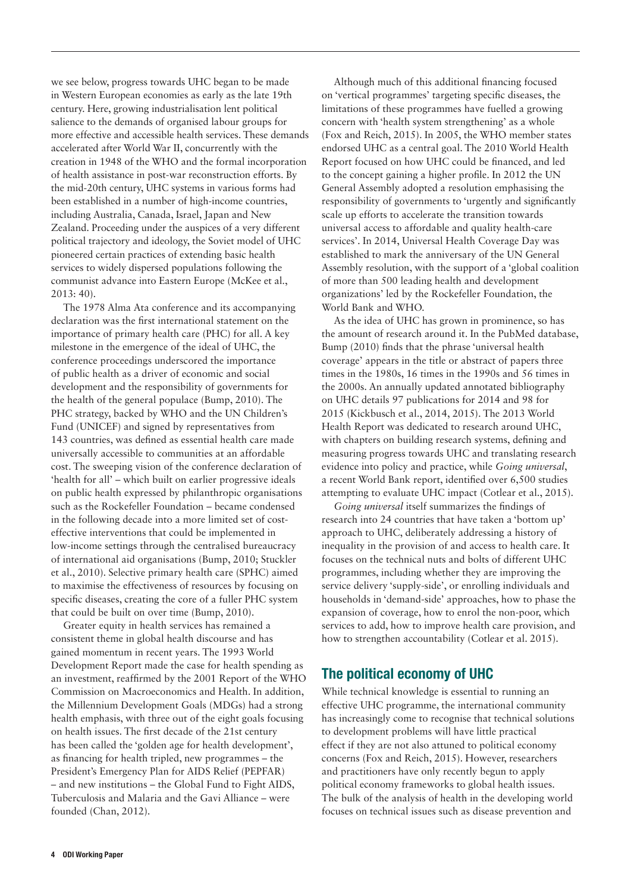we see below, progress towards UHC began to be made in Western European economies as early as the late 19th century. Here, growing industrialisation lent political salience to the demands of organised labour groups for more effective and accessible health services. These demands accelerated after World War II, concurrently with the creation in 1948 of the WHO and the formal incorporation of health assistance in post-war reconstruction efforts. By the mid-20th century, UHC systems in various forms had been established in a number of high-income countries, including Australia, Canada, Israel, Japan and New Zealand. Proceeding under the auspices of a very different political trajectory and ideology, the Soviet model of UHC pioneered certain practices of extending basic health services to widely dispersed populations following the communist advance into Eastern Europe (McKee et al., 2013: 40).

The 1978 Alma Ata conference and its accompanying declaration was the first international statement on the importance of primary health care (PHC) for all. A key milestone in the emergence of the ideal of UHC, the conference proceedings underscored the importance of public health as a driver of economic and social development and the responsibility of governments for the health of the general populace (Bump, 2010). The PHC strategy, backed by WHO and the UN Children's Fund (UNICEF) and signed by representatives from 143 countries, was defined as essential health care made universally accessible to communities at an affordable cost. The sweeping vision of the conference declaration of 'health for all' – which built on earlier progressive ideals on public health expressed by philanthropic organisations such as the Rockefeller Foundation – became condensed in the following decade into a more limited set of costeffective interventions that could be implemented in low-income settings through the centralised bureaucracy of international aid organisations (Bump, 2010; Stuckler et al., 2010). Selective primary health care (SPHC) aimed to maximise the effectiveness of resources by focusing on specific diseases, creating the core of a fuller PHC system that could be built on over time (Bump, 2010).

Greater equity in health services has remained a consistent theme in global health discourse and has gained momentum in recent years. The 1993 World Development Report made the case for health spending as an investment, reaffirmed by the 2001 Report of the WHO Commission on Macroeconomics and Health. In addition, the Millennium Development Goals (MDGs) had a strong health emphasis, with three out of the eight goals focusing on health issues. The first decade of the 21st century has been called the 'golden age for health development', as financing for health tripled, new programmes – the President's Emergency Plan for AIDS Relief (PEPFAR) – and new institutions – the Global Fund to Fight AIDS, Tuberculosis and Malaria and the Gavi Alliance – were founded (Chan, 2012).

Although much of this additional financing focused on 'vertical programmes' targeting specific diseases, the limitations of these programmes have fuelled a growing concern with 'health system strengthening' as a whole (Fox and Reich, 2015). In 2005, the WHO member states endorsed UHC as a central goal. The 2010 World Health Report focused on how UHC could be financed, and led to the concept gaining a higher profile. In 2012 the UN General Assembly adopted a resolution emphasising the responsibility of governments to 'urgently and significantly scale up efforts to accelerate the transition towards universal access to affordable and quality health-care services'. In 2014, Universal Health Coverage Day was established to mark the anniversary of the UN General Assembly resolution, with the support of a 'global coalition of more than 500 leading health and development organizations' led by the Rockefeller Foundation, the World Bank and WHO.

As the idea of UHC has grown in prominence, so has the amount of research around it. In the PubMed database, Bump (2010) finds that the phrase 'universal health coverage' appears in the title or abstract of papers three times in the 1980s, 16 times in the 1990s and 56 times in the 2000s. An annually updated annotated bibliography on UHC details 97 publications for 2014 and 98 for 2015 (Kickbusch et al., 2014, 2015). The 2013 World Health Report was dedicated to research around UHC, with chapters on building research systems, defining and measuring progress towards UHC and translating research evidence into policy and practice, while *Going universal*, a recent World Bank report, identified over 6,500 studies attempting to evaluate UHC impact (Cotlear et al., 2015).

*Going universal* itself summarizes the findings of research into 24 countries that have taken a 'bottom up' approach to UHC, deliberately addressing a history of inequality in the provision of and access to health care. It focuses on the technical nuts and bolts of different UHC programmes, including whether they are improving the service delivery 'supply-side', or enrolling individuals and households in 'demand-side' approaches, how to phase the expansion of coverage, how to enrol the non-poor, which services to add, how to improve health care provision, and how to strengthen accountability (Cotlear et al. 2015).

# The political economy of UHC

While technical knowledge is essential to running an effective UHC programme, the international community has increasingly come to recognise that technical solutions to development problems will have little practical effect if they are not also attuned to political economy concerns (Fox and Reich, 2015). However, researchers and practitioners have only recently begun to apply political economy frameworks to global health issues. The bulk of the analysis of health in the developing world focuses on technical issues such as disease prevention and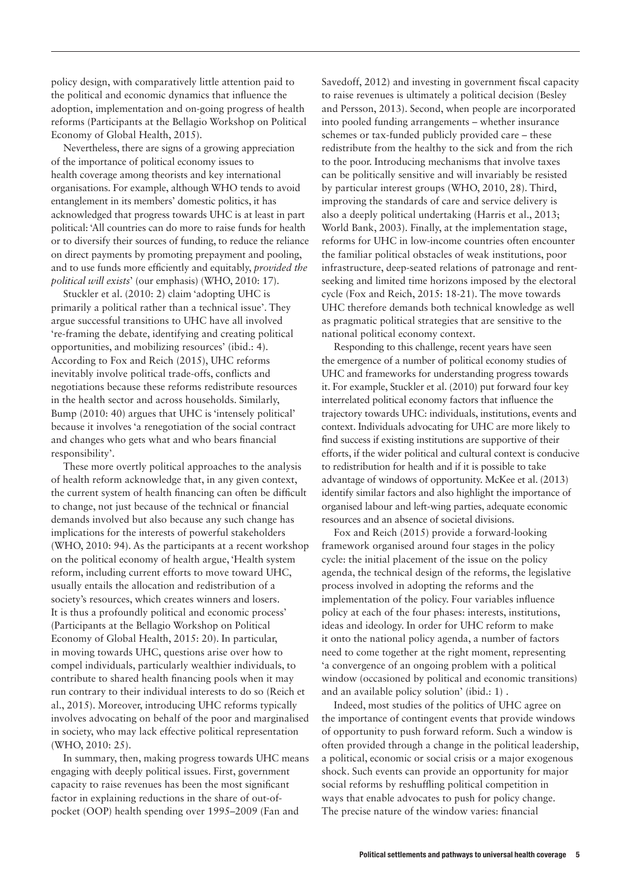policy design, with comparatively little attention paid to the political and economic dynamics that influence the adoption, implementation and on-going progress of health reforms (Participants at the Bellagio Workshop on Political Economy of Global Health, 2015).

Nevertheless, there are signs of a growing appreciation of the importance of political economy issues to health coverage among theorists and key international organisations. For example, although WHO tends to avoid entanglement in its members' domestic politics, it has acknowledged that progress towards UHC is at least in part political: 'All countries can do more to raise funds for health or to diversify their sources of funding, to reduce the reliance on direct payments by promoting prepayment and pooling, and to use funds more efficiently and equitably, *provided the political will exists*' (our emphasis) (WHO, 2010: 17).

Stuckler et al. (2010: 2) claim 'adopting UHC is primarily a political rather than a technical issue'. They argue successful transitions to UHC have all involved 're-framing the debate, identifying and creating political opportunities, and mobilizing resources' (ibid.: 4). According to Fox and Reich (2015), UHC reforms inevitably involve political trade-offs, conflicts and negotiations because these reforms redistribute resources in the health sector and across households. Similarly, Bump (2010: 40) argues that UHC is 'intensely political' because it involves 'a renegotiation of the social contract and changes who gets what and who bears financial responsibility'.

These more overtly political approaches to the analysis of health reform acknowledge that, in any given context, the current system of health financing can often be difficult to change, not just because of the technical or financial demands involved but also because any such change has implications for the interests of powerful stakeholders (WHO, 2010: 94). As the participants at a recent workshop on the political economy of health argue, 'Health system reform, including current efforts to move toward UHC, usually entails the allocation and redistribution of a society's resources, which creates winners and losers. It is thus a profoundly political and economic process' (Participants at the Bellagio Workshop on Political Economy of Global Health, 2015: 20). In particular, in moving towards UHC, questions arise over how to compel individuals, particularly wealthier individuals, to contribute to shared health financing pools when it may run contrary to their individual interests to do so (Reich et al., 2015). Moreover, introducing UHC reforms typically involves advocating on behalf of the poor and marginalised in society, who may lack effective political representation (WHO, 2010: 25).

In summary, then, making progress towards UHC means engaging with deeply political issues. First, government capacity to raise revenues has been the most significant factor in explaining reductions in the share of out-ofpocket (OOP) health spending over 1995–2009 (Fan and

Savedoff, 2012) and investing in government fiscal capacity to raise revenues is ultimately a political decision (Besley and Persson, 2013). Second, when people are incorporated into pooled funding arrangements – whether insurance schemes or tax-funded publicly provided care – these redistribute from the healthy to the sick and from the rich to the poor. Introducing mechanisms that involve taxes can be politically sensitive and will invariably be resisted by particular interest groups (WHO, 2010, 28). Third, improving the standards of care and service delivery is also a deeply political undertaking (Harris et al., 2013; World Bank, 2003). Finally, at the implementation stage, reforms for UHC in low-income countries often encounter the familiar political obstacles of weak institutions, poor infrastructure, deep-seated relations of patronage and rentseeking and limited time horizons imposed by the electoral cycle (Fox and Reich, 2015: 18-21). The move towards UHC therefore demands both technical knowledge as well as pragmatic political strategies that are sensitive to the national political economy context.

Responding to this challenge, recent years have seen the emergence of a number of political economy studies of UHC and frameworks for understanding progress towards it. For example, Stuckler et al. (2010) put forward four key interrelated political economy factors that influence the trajectory towards UHC: individuals, institutions, events and context. Individuals advocating for UHC are more likely to find success if existing institutions are supportive of their efforts, if the wider political and cultural context is conducive to redistribution for health and if it is possible to take advantage of windows of opportunity. McKee et al. (2013) identify similar factors and also highlight the importance of organised labour and left-wing parties, adequate economic resources and an absence of societal divisions.

Fox and Reich (2015) provide a forward-looking framework organised around four stages in the policy cycle: the initial placement of the issue on the policy agenda, the technical design of the reforms, the legislative process involved in adopting the reforms and the implementation of the policy. Four variables influence policy at each of the four phases: interests, institutions, ideas and ideology. In order for UHC reform to make it onto the national policy agenda, a number of factors need to come together at the right moment, representing 'a convergence of an ongoing problem with a political window (occasioned by political and economic transitions) and an available policy solution' (ibid.: 1) .

Indeed, most studies of the politics of UHC agree on the importance of contingent events that provide windows of opportunity to push forward reform. Such a window is often provided through a change in the political leadership, a political, economic or social crisis or a major exogenous shock. Such events can provide an opportunity for major social reforms by reshuffling political competition in ways that enable advocates to push for policy change. The precise nature of the window varies: financial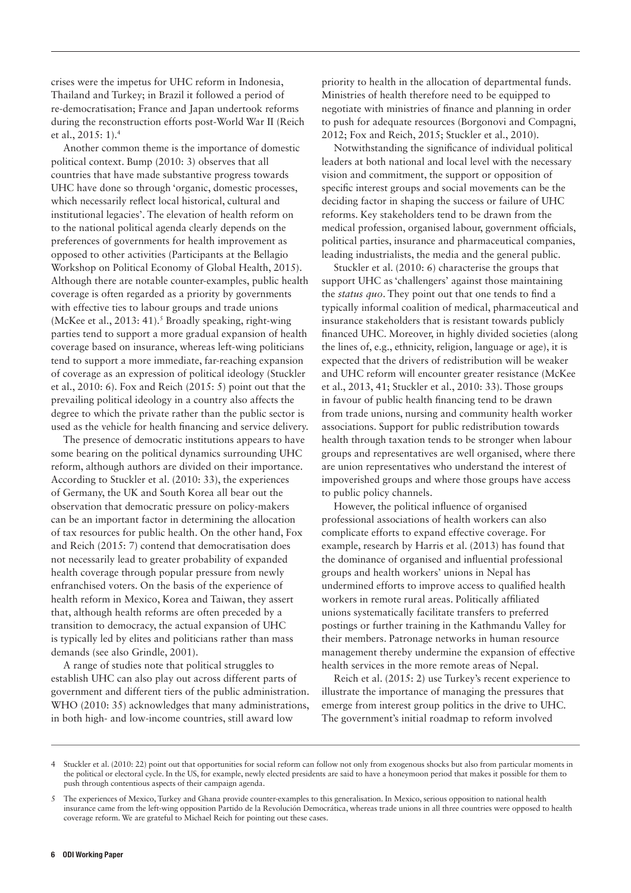crises were the impetus for UHC reform in Indonesia, Thailand and Turkey; in Brazil it followed a period of re-democratisation; France and Japan undertook reforms during the reconstruction efforts post-World War II (Reich et al., 2015: 1).4

Another common theme is the importance of domestic political context. Bump (2010: 3) observes that all countries that have made substantive progress towards UHC have done so through 'organic, domestic processes, which necessarily reflect local historical, cultural and institutional legacies'. The elevation of health reform on to the national political agenda clearly depends on the preferences of governments for health improvement as opposed to other activities (Participants at the Bellagio Workshop on Political Economy of Global Health, 2015). Although there are notable counter-examples, public health coverage is often regarded as a priority by governments with effective ties to labour groups and trade unions (McKee et al., 2013: 41).<sup>5</sup> Broadly speaking, right-wing parties tend to support a more gradual expansion of health coverage based on insurance, whereas left-wing politicians tend to support a more immediate, far-reaching expansion of coverage as an expression of political ideology (Stuckler et al., 2010: 6). Fox and Reich (2015: 5) point out that the prevailing political ideology in a country also affects the degree to which the private rather than the public sector is used as the vehicle for health financing and service delivery.

The presence of democratic institutions appears to have some bearing on the political dynamics surrounding UHC reform, although authors are divided on their importance. According to Stuckler et al. (2010: 33), the experiences of Germany, the UK and South Korea all bear out the observation that democratic pressure on policy-makers can be an important factor in determining the allocation of tax resources for public health. On the other hand, Fox and Reich (2015: 7) contend that democratisation does not necessarily lead to greater probability of expanded health coverage through popular pressure from newly enfranchised voters. On the basis of the experience of health reform in Mexico, Korea and Taiwan, they assert that, although health reforms are often preceded by a transition to democracy, the actual expansion of UHC is typically led by elites and politicians rather than mass demands (see also Grindle, 2001).

A range of studies note that political struggles to establish UHC can also play out across different parts of government and different tiers of the public administration. WHO (2010: 35) acknowledges that many administrations, in both high- and low-income countries, still award low

priority to health in the allocation of departmental funds. Ministries of health therefore need to be equipped to negotiate with ministries of finance and planning in order to push for adequate resources (Borgonovi and Compagni, 2012; Fox and Reich, 2015; Stuckler et al., 2010).

Notwithstanding the significance of individual political leaders at both national and local level with the necessary vision and commitment, the support or opposition of specific interest groups and social movements can be the deciding factor in shaping the success or failure of UHC reforms. Key stakeholders tend to be drawn from the medical profession, organised labour, government officials, political parties, insurance and pharmaceutical companies, leading industrialists, the media and the general public.

Stuckler et al. (2010: 6) characterise the groups that support UHC as 'challengers' against those maintaining the *status quo*. They point out that one tends to find a typically informal coalition of medical, pharmaceutical and insurance stakeholders that is resistant towards publicly financed UHC. Moreover, in highly divided societies (along the lines of, e.g., ethnicity, religion, language or age), it is expected that the drivers of redistribution will be weaker and UHC reform will encounter greater resistance (McKee et al., 2013, 41; Stuckler et al., 2010: 33). Those groups in favour of public health financing tend to be drawn from trade unions, nursing and community health worker associations. Support for public redistribution towards health through taxation tends to be stronger when labour groups and representatives are well organised, where there are union representatives who understand the interest of impoverished groups and where those groups have access to public policy channels.

However, the political influence of organised professional associations of health workers can also complicate efforts to expand effective coverage. For example, research by Harris et al. (2013) has found that the dominance of organised and influential professional groups and health workers' unions in Nepal has undermined efforts to improve access to qualified health workers in remote rural areas. Politically affiliated unions systematically facilitate transfers to preferred postings or further training in the Kathmandu Valley for their members. Patronage networks in human resource management thereby undermine the expansion of effective health services in the more remote areas of Nepal.

Reich et al. (2015: 2) use Turkey's recent experience to illustrate the importance of managing the pressures that emerge from interest group politics in the drive to UHC. The government's initial roadmap to reform involved

<sup>4</sup> Stuckler et al. (2010: 22) point out that opportunities for social reform can follow not only from exogenous shocks but also from particular moments in the political or electoral cycle. In the US, for example, newly elected presidents are said to have a honeymoon period that makes it possible for them to push through contentious aspects of their campaign agenda.

<sup>5</sup> The experiences of Mexico, Turkey and Ghana provide counter-examples to this generalisation. In Mexico, serious opposition to national health insurance came from the left-wing opposition Partido de la Revolución Democrática, whereas trade unions in all three countries were opposed to health coverage reform. We are grateful to Michael Reich for pointing out these cases.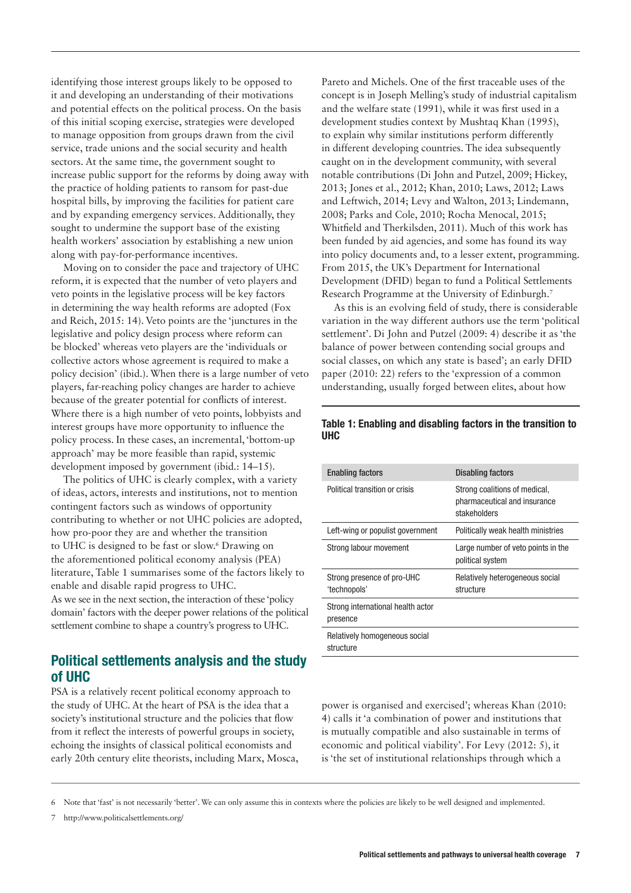identifying those interest groups likely to be opposed to it and developing an understanding of their motivations and potential effects on the political process. On the basis of this initial scoping exercise, strategies were developed to manage opposition from groups drawn from the civil service, trade unions and the social security and health sectors. At the same time, the government sought to increase public support for the reforms by doing away with the practice of holding patients to ransom for past-due hospital bills, by improving the facilities for patient care and by expanding emergency services. Additionally, they sought to undermine the support base of the existing health workers' association by establishing a new union along with pay-for-performance incentives.

Moving on to consider the pace and trajectory of UHC reform, it is expected that the number of veto players and veto points in the legislative process will be key factors in determining the way health reforms are adopted (Fox and Reich, 2015: 14). Veto points are the 'junctures in the legislative and policy design process where reform can be blocked' whereas veto players are the 'individuals or collective actors whose agreement is required to make a policy decision' (ibid.). When there is a large number of veto players, far-reaching policy changes are harder to achieve because of the greater potential for conflicts of interest. Where there is a high number of veto points, lobbyists and interest groups have more opportunity to influence the policy process. In these cases, an incremental, 'bottom-up approach' may be more feasible than rapid, systemic development imposed by government (ibid.: 14–15).

The politics of UHC is clearly complex, with a variety of ideas, actors, interests and institutions, not to mention contingent factors such as windows of opportunity contributing to whether or not UHC policies are adopted, how pro-poor they are and whether the transition to UHC is designed to be fast or slow.<sup>6</sup> Drawing on the aforementioned political economy analysis (PEA) literature, Table 1 summarises some of the factors likely to enable and disable rapid progress to UHC. As we see in the next section, the interaction of these 'policy domain' factors with the deeper power relations of the political settlement combine to shape a country's progress to UHC.

# Political settlements analysis and the study of UHC

PSA is a relatively recent political economy approach to the study of UHC. At the heart of PSA is the idea that a society's institutional structure and the policies that flow from it reflect the interests of powerful groups in society, echoing the insights of classical political economists and early 20th century elite theorists, including Marx, Mosca, Pareto and Michels. One of the first traceable uses of the concept is in Joseph Melling's study of industrial capitalism and the welfare state (1991), while it was first used in a development studies context by Mushtaq Khan (1995), to explain why similar institutions perform differently in different developing countries. The idea subsequently caught on in the development community, with several notable contributions (Di John and Putzel, 2009; Hickey, 2013; Jones et al., 2012; Khan, 2010; Laws, 2012; Laws and Leftwich, 2014; Levy and Walton, 2013; Lindemann, 2008; Parks and Cole, 2010; Rocha Menocal, 2015; Whitfield and Therkilsden, 2011). Much of this work has been funded by aid agencies, and some has found its way into policy documents and, to a lesser extent, programming. From 2015, the UK's Department for International Development (DFID) began to fund a Political Settlements Research Programme at the University of Edinburgh.7

As this is an evolving field of study, there is considerable variation in the way different authors use the term 'political settlement'. Di John and Putzel (2009: 4) describe it as 'the balance of power between contending social groups and social classes, on which any state is based'; an early DFID paper (2010: 22) refers to the 'expression of a common understanding, usually forged between elites, about how

| <b>Enabling factors</b>                       | Disabling factors                                                             |
|-----------------------------------------------|-------------------------------------------------------------------------------|
| Political transition or crisis                | Strong coalitions of medical,<br>pharmaceutical and insurance<br>stakeholders |
| Left-wing or populist government              | Politically weak health ministries                                            |
| Strong labour movement                        | Large number of veto points in the<br>political system                        |
| Strong presence of pro-UHC<br>'technopols'    | Relatively heterogeneous social<br>structure                                  |
| Strong international health actor<br>presence |                                                                               |
| Relatively homogeneous social<br>structure    |                                                                               |

#### Table 1: Enabling and disabling factors in the transition to UHC

power is organised and exercised'; whereas Khan (2010: 4) calls it 'a combination of power and institutions that is mutually compatible and also sustainable in terms of economic and political viability'. For Levy (2012: 5), it is 'the set of institutional relationships through which a

Note that 'fast' is not necessarily 'better'. We can only assume this in contexts where the policies are likely to be well designed and implemented.

7 http://www.politicalsettlements.org/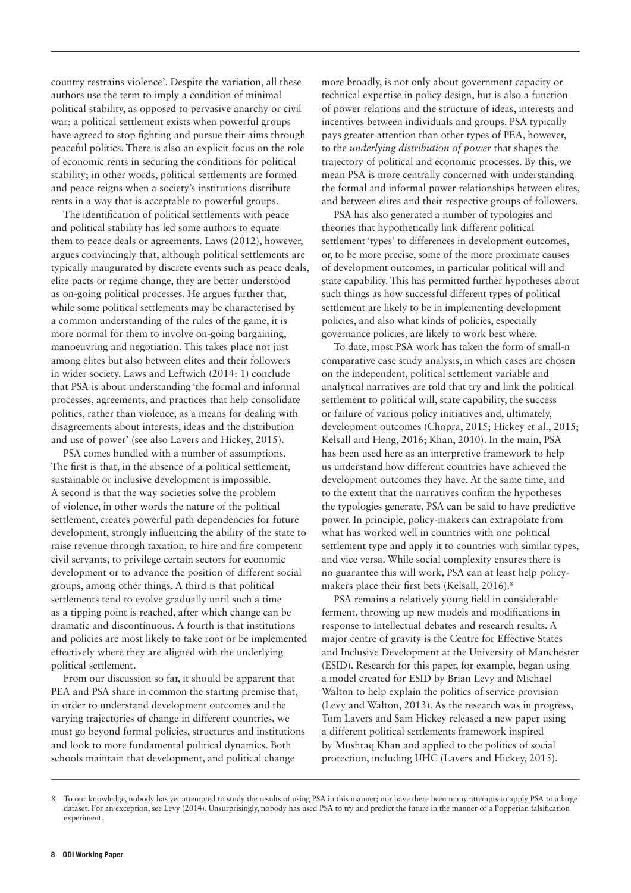country restrains violence'. Despite the variation, all these authors use the term to imply a condition of minimal political stability, as opposed to pervasive anarchy or civil war: a political settlement exists when powerful groups have agreed to stop fighting and pursue their aims through peaceful politics. There is also an explicit focus on the role of economic rents in securing the conditions for political stability; in other words, political settlements are formed and peace reigns when a society's institutions distribute rents in a way that is acceptable to powerful groups.

The identification of political settlements with peace and political stability has led some authors to equate them to peace deals or agreements. Laws (2012), however, argues convincingly that, although political settlements are typically inaugurated by discrete events such as peace deals, elite pacts or regime change, they are better understood as on-going political processes. He argues further that, while some political settlements may be characterised by a common understanding of the rules of the game, it is more normal for them to involve on-going bargaining, manoeuvring and negotiation. This takes place not just among elites but also between elites and their followers in wider society. Laws and Leftwich (2014: 1) conclude that PSA is about understanding 'the formal and informal processes, agreements, and practices that help consolidate politics, rather than violence, as a means for dealing with disagreements about interests, ideas and the distribution and use of power' (see also Lavers and Hickey, 2015).

PSA comes bundled with a number of assumptions. The first is that, in the absence of a political settlement, sustainable or inclusive development is impossible. A second is that the way societies solve the problem of violence, in other words the nature of the political settlement, creates powerful path dependencies for future development, strongly influencing the ability of the state to raise revenue through taxation, to hire and fire competent civil servants, to privilege certain sectors for economic development or to advance the position of different social groups, among other things. A third is that political settlements tend to evolve gradually until such a time as a tipping point is reached, after which change can be dramatic and discontinuous. A fourth is that institutions and policies are most likely to take root or be implemented effectively where they are aligned with the underlying political settlement.

From our discussion so far, it should be apparent that PEA and PSA share in common the starting premise that, in order to understand development outcomes and the varying trajectories of change in different countries, we must go beyond formal policies, structures and institutions and look to more fundamental political dynamics. Both schools maintain that development, and political change

more broadly, is not only about government capacity or technical expertise in policy design, but is also a function of power relations and the structure of ideas, interests and incentives between individuals and groups. PSA typically pays greater attention than other types of PEA, however, to the *underlying distribution of power* that shapes the trajectory of political and economic processes. By this, we mean PSA is more centrally concerned with understanding the formal and informal power relationships between elites, and between elites and their respective groups of followers.

PSA has also generated a number of typologies and theories that hypothetically link different political settlement 'types' to differences in development outcomes, or, to be more precise, some of the more proximate causes of development outcomes, in particular political will and state capability. This has permitted further hypotheses about such things as how successful different types of political settlement are likely to be in implementing development policies, and also what kinds of policies, especially governance policies, are likely to work best where.

To date, most PSA work has taken the form of small-n comparative case study analysis, in which cases are chosen on the independent, political settlement variable and analytical narratives are told that try and link the political settlement to political will, state capability, the success or failure of various policy initiatives and, ultimately, development outcomes (Chopra, 2015; Hickey et al., 2015; Kelsall and Heng, 2016; Khan, 2010). In the main, PSA has been used here as an interpretive framework to help us understand how different countries have achieved the development outcomes they have. At the same time, and to the extent that the narratives confirm the hypotheses the typologies generate, PSA can be said to have predictive power. In principle, policy-makers can extrapolate from what has worked well in countries with one political settlement type and apply it to countries with similar types, and vice versa. While social complexity ensures there is no guarantee this will work, PSA can at least help policymakers place their first bets (Kelsall, 2016).8

PSA remains a relatively young field in considerable ferment, throwing up new models and modifications in response to intellectual debates and research results. A major centre of gravity is the Centre for Effective States and Inclusive Development at the University of Manchester (ESID). Research for this paper, for example, began using a model created for ESID by Brian Levy and Michael Walton to help explain the politics of service provision (Levy and Walton, 2013). As the research was in progress, Tom Lavers and Sam Hickey released a new paper using a different political settlements framework inspired by Mushtaq Khan and applied to the politics of social protection, including UHC (Lavers and Hickey, 2015).

<sup>8</sup> To our knowledge, nobody has yet attempted to study the results of using PSA in this manner; nor have there been many attempts to apply PSA to a large dataset. For an exception, see Levy (2014). Unsurprisingly, nobody has used PSA to try and predict the future in the manner of a Popperian falsification experiment.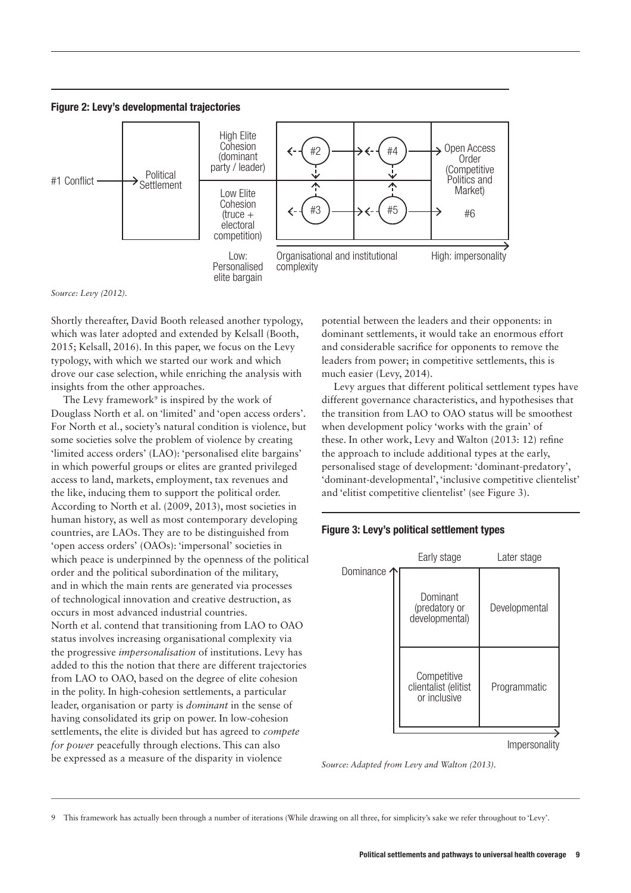



*Source: Levy (2012).*

Shortly thereafter, David Booth released another typology, which was later adopted and extended by Kelsall (Booth, 2015; Kelsall, 2016). In this paper, we focus on the Levy typology, with which we started our work and which drove our case selection, while enriching the analysis with insights from the other approaches.

The Levy framework<sup>9</sup> is inspired by the work of Douglass North et al. on 'limited' and 'open access orders'. For North et al., society's natural condition is violence, but some societies solve the problem of violence by creating 'limited access orders' (LAO): 'personalised elite bargains' in which powerful groups or elites are granted privileged access to land, markets, employment, tax revenues and the like, inducing them to support the political order. According to North et al. (2009, 2013), most societies in human history, as well as most contemporary developing countries, are LAOs. They are to be distinguished from 'open access orders' (OAOs): 'impersonal' societies in which peace is underpinned by the openness of the political order and the political subordination of the military, and in which the main rents are generated via processes of technological innovation and creative destruction, as occurs in most advanced industrial countries. North et al. contend that transitioning from LAO to OAO status involves increasing organisational complexity via the progressive *impersonalisation* of institutions. Levy has added to this the notion that there are different trajectories from LAO to OAO, based on the degree of elite cohesion in the polity. In high-cohesion settlements, a particular leader, organisation or party is *dominant* in the sense of having consolidated its grip on power. In low-cohesion settlements, the elite is divided but has agreed to *compete for power* peacefully through elections. This can also be expressed as a measure of the disparity in violence

potential between the leaders and their opponents: in dominant settlements, it would take an enormous effort and considerable sacrifice for opponents to remove the leaders from power; in competitive settlements, this is much easier (Levy, 2014).

Levy argues that different political settlement types have different governance characteristics, and hypothesises that the transition from LAO to OAO status will be smoothest when development policy 'works with the grain' of these. In other work, Levy and Walton (2013: 12) refine the approach to include additional types at the early, personalised stage of development: 'dominant-predatory', 'dominant-developmental', 'inclusive competitive clientelist' and 'elitist competitive clientelist' (see Figure 3).





*Source: Adapted from Levy and Walton (2013).*

9 This framework has actually been through a number of iterations (While drawing on all three, for simplicity's sake we refer throughout to 'Levy'.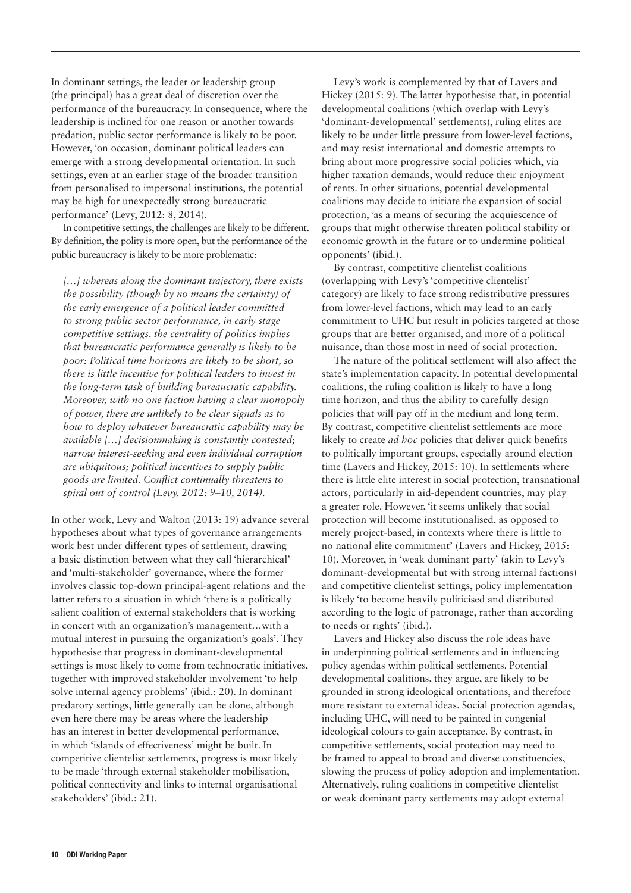In dominant settings, the leader or leadership group (the principal) has a great deal of discretion over the performance of the bureaucracy. In consequence, where the leadership is inclined for one reason or another towards predation, public sector performance is likely to be poor. However, 'on occasion, dominant political leaders can emerge with a strong developmental orientation. In such settings, even at an earlier stage of the broader transition from personalised to impersonal institutions, the potential may be high for unexpectedly strong bureaucratic performance' (Levy, 2012: 8, 2014).

In competitive settings, the challenges are likely to be different. By definition, the polity is more open, but the performance of the public bureaucracy is likely to be more problematic:

*[…] whereas along the dominant trajectory, there exists the possibility (though by no means the certainty) of the early emergence of a political leader committed to strong public sector performance, in early stage competitive settings, the centrality of politics implies that bureaucratic performance generally is likely to be poor: Political time horizons are likely to be short, so there is little incentive for political leaders to invest in the long-term task of building bureaucratic capability. Moreover, with no one faction having a clear monopoly of power, there are unlikely to be clear signals as to how to deploy whatever bureaucratic capability may be available […] decisionmaking is constantly contested; narrow interest-seeking and even individual corruption are ubiquitous; political incentives to supply public goods are limited. Conflict continually threatens to spiral out of control (Levy, 2012: 9–10, 2014).* 

In other work, Levy and Walton (2013: 19) advance several hypotheses about what types of governance arrangements work best under different types of settlement, drawing a basic distinction between what they call 'hierarchical' and 'multi-stakeholder' governance, where the former involves classic top-down principal-agent relations and the latter refers to a situation in which 'there is a politically salient coalition of external stakeholders that is working in concert with an organization's management…with a mutual interest in pursuing the organization's goals'. They hypothesise that progress in dominant-developmental settings is most likely to come from technocratic initiatives, together with improved stakeholder involvement 'to help solve internal agency problems' (ibid.: 20). In dominant predatory settings, little generally can be done, although even here there may be areas where the leadership has an interest in better developmental performance, in which 'islands of effectiveness' might be built. In competitive clientelist settlements, progress is most likely to be made 'through external stakeholder mobilisation, political connectivity and links to internal organisational stakeholders' (ibid.: 21).

Levy's work is complemented by that of Lavers and Hickey (2015: 9). The latter hypothesise that, in potential developmental coalitions (which overlap with Levy's 'dominant-developmental' settlements), ruling elites are likely to be under little pressure from lower-level factions, and may resist international and domestic attempts to bring about more progressive social policies which, via higher taxation demands, would reduce their enjoyment of rents. In other situations, potential developmental coalitions may decide to initiate the expansion of social protection, 'as a means of securing the acquiescence of groups that might otherwise threaten political stability or economic growth in the future or to undermine political opponents' (ibid.).

By contrast, competitive clientelist coalitions (overlapping with Levy's 'competitive clientelist' category) are likely to face strong redistributive pressures from lower-level factions, which may lead to an early commitment to UHC but result in policies targeted at those groups that are better organised, and more of a political nuisance, than those most in need of social protection.

The nature of the political settlement will also affect the state's implementation capacity. In potential developmental coalitions, the ruling coalition is likely to have a long time horizon, and thus the ability to carefully design policies that will pay off in the medium and long term. By contrast, competitive clientelist settlements are more likely to create *ad hoc* policies that deliver quick benefits to politically important groups, especially around election time (Lavers and Hickey, 2015: 10). In settlements where there is little elite interest in social protection, transnational actors, particularly in aid-dependent countries, may play a greater role. However, 'it seems unlikely that social protection will become institutionalised, as opposed to merely project-based, in contexts where there is little to no national elite commitment' (Lavers and Hickey, 2015: 10). Moreover, in 'weak dominant party' (akin to Levy's dominant-developmental but with strong internal factions) and competitive clientelist settings, policy implementation is likely 'to become heavily politicised and distributed according to the logic of patronage, rather than according to needs or rights' (ibid.).

Lavers and Hickey also discuss the role ideas have in underpinning political settlements and in influencing policy agendas within political settlements. Potential developmental coalitions, they argue, are likely to be grounded in strong ideological orientations, and therefore more resistant to external ideas. Social protection agendas, including UHC, will need to be painted in congenial ideological colours to gain acceptance. By contrast, in competitive settlements, social protection may need to be framed to appeal to broad and diverse constituencies, slowing the process of policy adoption and implementation. Alternatively, ruling coalitions in competitive clientelist or weak dominant party settlements may adopt external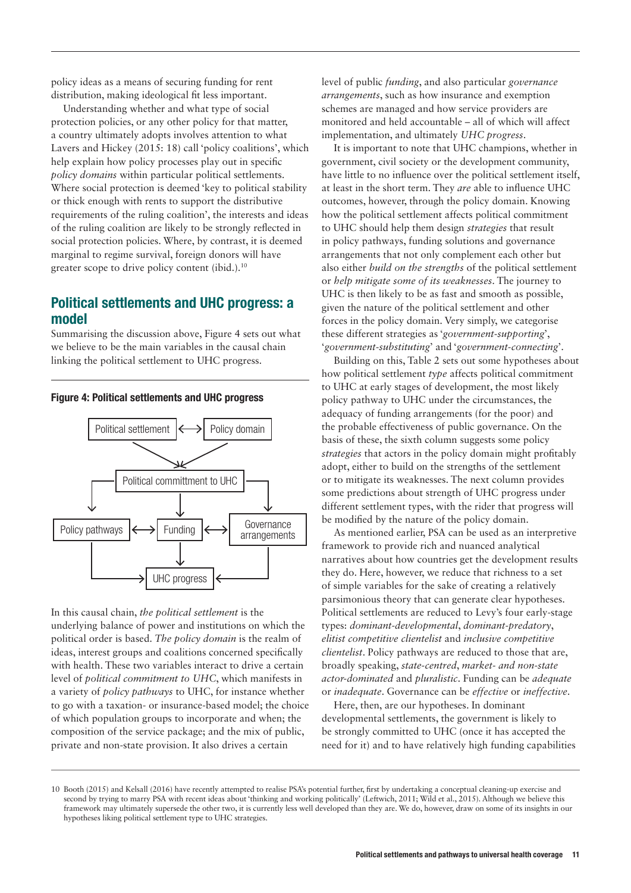policy ideas as a means of securing funding for rent distribution, making ideological fit less important.

Understanding whether and what type of social protection policies, or any other policy for that matter, a country ultimately adopts involves attention to what Lavers and Hickey (2015: 18) call 'policy coalitions', which help explain how policy processes play out in specific *policy domains* within particular political settlements. Where social protection is deemed 'key to political stability or thick enough with rents to support the distributive requirements of the ruling coalition', the interests and ideas of the ruling coalition are likely to be strongly reflected in social protection policies. Where, by contrast, it is deemed marginal to regime survival, foreign donors will have greater scope to drive policy content (ibid.). $10$ 

# Political settlements and UHC progress: a model

Summarising the discussion above, Figure 4 sets out what we believe to be the main variables in the causal chain linking the political settlement to UHC progress.



Figure 4: Political settlements and UHC progress

In this causal chain, *the political settlement* is the underlying balance of power and institutions on which the political order is based. *The policy domain* is the realm of ideas, interest groups and coalitions concerned specifically with health. These two variables interact to drive a certain level of *political commitment to UHC*, which manifests in a variety of *policy pathways* to UHC, for instance whether to go with a taxation- or insurance-based model; the choice of which population groups to incorporate and when; the composition of the service package; and the mix of public, private and non-state provision. It also drives a certain

level of public *funding*, and also particular *governance arrangements*, such as how insurance and exemption schemes are managed and how service providers are monitored and held accountable – all of which will affect implementation, and ultimately *UHC progress*.

It is important to note that UHC champions, whether in government, civil society or the development community, have little to no influence over the political settlement itself, at least in the short term. They *are* able to influence UHC outcomes, however, through the policy domain. Knowing how the political settlement affects political commitment to UHC should help them design *strategies* that result in policy pathways, funding solutions and governance arrangements that not only complement each other but also either *build on the strengths* of the political settlement or *help mitigate some of its weaknesses*. The journey to UHC is then likely to be as fast and smooth as possible, given the nature of the political settlement and other forces in the policy domain. Very simply, we categorise these different strategies as '*government-supporting*', '*government-substituting*' and '*government-connecting*'.

Building on this, Table 2 sets out some hypotheses about how political settlement *type* affects political commitment to UHC at early stages of development, the most likely policy pathway to UHC under the circumstances, the adequacy of funding arrangements (for the poor) and the probable effectiveness of public governance. On the basis of these, the sixth column suggests some policy *strategies* that actors in the policy domain might profitably adopt, either to build on the strengths of the settlement or to mitigate its weaknesses. The next column provides some predictions about strength of UHC progress under different settlement types, with the rider that progress will be modified by the nature of the policy domain.

As mentioned earlier, PSA can be used as an interpretive framework to provide rich and nuanced analytical narratives about how countries get the development results they do. Here, however, we reduce that richness to a set of simple variables for the sake of creating a relatively parsimonious theory that can generate clear hypotheses. Political settlements are reduced to Levy's four early-stage types: *dominant-developmental*, *dominant-predatory*, *elitist competitive clientelist* and *inclusive competitive clientelist*. Policy pathways are reduced to those that are, broadly speaking, *state-centred*, *market- and non-state actor-dominated* and *pluralistic*. Funding can be *adequate*  or *inadequate*. Governance can be *effective* or *ineffective*.

Here, then, are our hypotheses. In dominant developmental settlements, the government is likely to be strongly committed to UHC (once it has accepted the need for it) and to have relatively high funding capabilities

<sup>10</sup> Booth (2015) and Kelsall (2016) have recently attempted to realise PSA's potential further, first by undertaking a conceptual cleaning-up exercise and second by trying to marry PSA with recent ideas about 'thinking and working politically' (Leftwich, 2011; Wild et al., 2015). Although we believe this framework may ultimately supersede the other two, it is currently less well developed than they are. We do, however, draw on some of its insights in our hypotheses liking political settlement type to UHC strategies.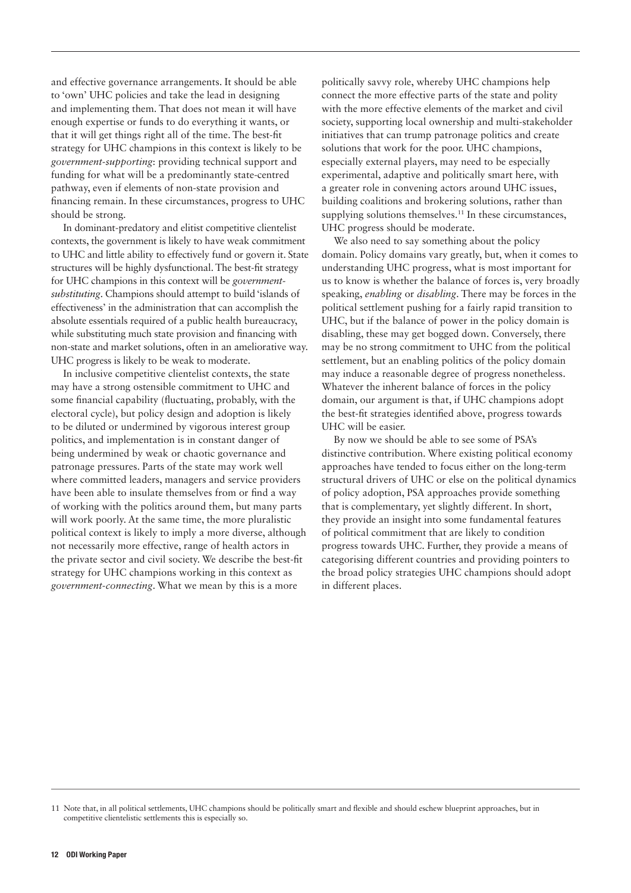and effective governance arrangements. It should be able to 'own' UHC policies and take the lead in designing and implementing them. That does not mean it will have enough expertise or funds to do everything it wants, or that it will get things right all of the time. The best-fit strategy for UHC champions in this context is likely to be *government-supporting*: providing technical support and funding for what will be a predominantly state-centred pathway, even if elements of non-state provision and financing remain. In these circumstances, progress to UHC should be strong.

In dominant-predatory and elitist competitive clientelist contexts, the government is likely to have weak commitment to UHC and little ability to effectively fund or govern it. State structures will be highly dysfunctional. The best-fit strategy for UHC champions in this context will be *governmentsubstituting*. Champions should attempt to build 'islands of effectiveness' in the administration that can accomplish the absolute essentials required of a public health bureaucracy, while substituting much state provision and financing with non-state and market solutions, often in an ameliorative way. UHC progress is likely to be weak to moderate.

In inclusive competitive clientelist contexts, the state may have a strong ostensible commitment to UHC and some financial capability (fluctuating, probably, with the electoral cycle), but policy design and adoption is likely to be diluted or undermined by vigorous interest group politics, and implementation is in constant danger of being undermined by weak or chaotic governance and patronage pressures. Parts of the state may work well where committed leaders, managers and service providers have been able to insulate themselves from or find a way of working with the politics around them, but many parts will work poorly. At the same time, the more pluralistic political context is likely to imply a more diverse, although not necessarily more effective, range of health actors in the private sector and civil society. We describe the best-fit strategy for UHC champions working in this context as *government-connecting*. What we mean by this is a more

politically savvy role, whereby UHC champions help connect the more effective parts of the state and polity with the more effective elements of the market and civil society, supporting local ownership and multi-stakeholder initiatives that can trump patronage politics and create solutions that work for the poor. UHC champions, especially external players, may need to be especially experimental, adaptive and politically smart here, with a greater role in convening actors around UHC issues, building coalitions and brokering solutions, rather than supplying solutions themselves.<sup>11</sup> In these circumstances, UHC progress should be moderate.

We also need to say something about the policy domain. Policy domains vary greatly, but, when it comes to understanding UHC progress, what is most important for us to know is whether the balance of forces is, very broadly speaking, *enabling* or *disabling*. There may be forces in the political settlement pushing for a fairly rapid transition to UHC, but if the balance of power in the policy domain is disabling, these may get bogged down. Conversely, there may be no strong commitment to UHC from the political settlement, but an enabling politics of the policy domain may induce a reasonable degree of progress nonetheless. Whatever the inherent balance of forces in the policy domain, our argument is that, if UHC champions adopt the best-fit strategies identified above, progress towards UHC will be easier.

By now we should be able to see some of PSA's distinctive contribution. Where existing political economy approaches have tended to focus either on the long-term structural drivers of UHC or else on the political dynamics of policy adoption, PSA approaches provide something that is complementary, yet slightly different. In short, they provide an insight into some fundamental features of political commitment that are likely to condition progress towards UHC. Further, they provide a means of categorising different countries and providing pointers to the broad policy strategies UHC champions should adopt in different places.

<sup>11</sup> Note that, in all political settlements, UHC champions should be politically smart and flexible and should eschew blueprint approaches, but in competitive clientelistic settlements this is especially so.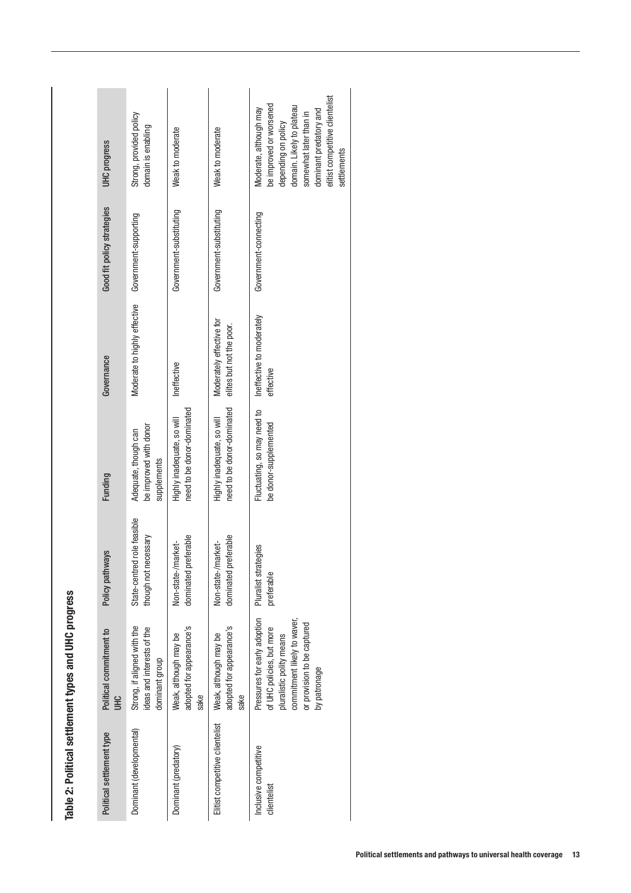| <b>UHC</b> progress               | Strong, provided policy<br>domain is enabling                               | Weak to moderate                                          | Weak to moderate                                          | elitist competitive clientelist<br>be improved or worsened<br>domain. Likely to plateau<br>Moderate, although may<br>dominant predatory and<br>somewhat later than in<br>depending on policy<br>settlements |
|-----------------------------------|-----------------------------------------------------------------------------|-----------------------------------------------------------|-----------------------------------------------------------|-------------------------------------------------------------------------------------------------------------------------------------------------------------------------------------------------------------|
| Good fit policy strategies        | Government-supporting                                                       | Government-substituting                                   | Government-substituting                                   | Government-connecting                                                                                                                                                                                       |
| Governance                        | Moderate to highly effective                                                | Ineffective                                               | Moderately effective for<br>elites but not the poor.      | Ineffective to moderately<br>effective                                                                                                                                                                      |
| Funding                           | be improved with donor<br>Adequate, though can<br>supplements               | need to be donor-dominated<br>Highly inadequate, so will  | need to be donor-dominated<br>Highly inadequate, so will  | Fluctuating, so may need to<br>be donor-supplemented                                                                                                                                                        |
| Policy pathways                   | State-centred role feasible<br>though not necessary                         | dominated preferable<br>Non-state-/market-                | dominated preferable<br>Non-state-/market-                | Pluralist strategies<br>preferable                                                                                                                                                                          |
| Political commitment to<br>오<br>크 | Strong, if aligned with the<br>ideas and interests of the<br>dominant group | adopted for appearance's<br>Weak, although may be<br>sake | adopted for appearance's<br>Weak, although may be<br>sake | Pressures for early adoption<br>commitment likely to waver,<br>or provision to be captured<br>of UHC policies, but more<br>pluralistic polity means<br>by patronage                                         |
| Political settlement type         | Dominant (developmental)                                                    | Dominant (predatory)                                      | Elitist competitive clientelist                           | Inclusive competitive<br>clientelist                                                                                                                                                                        |

| ١<br>: |
|--------|
|        |
| ì<br>l |
| j      |
| i      |
|        |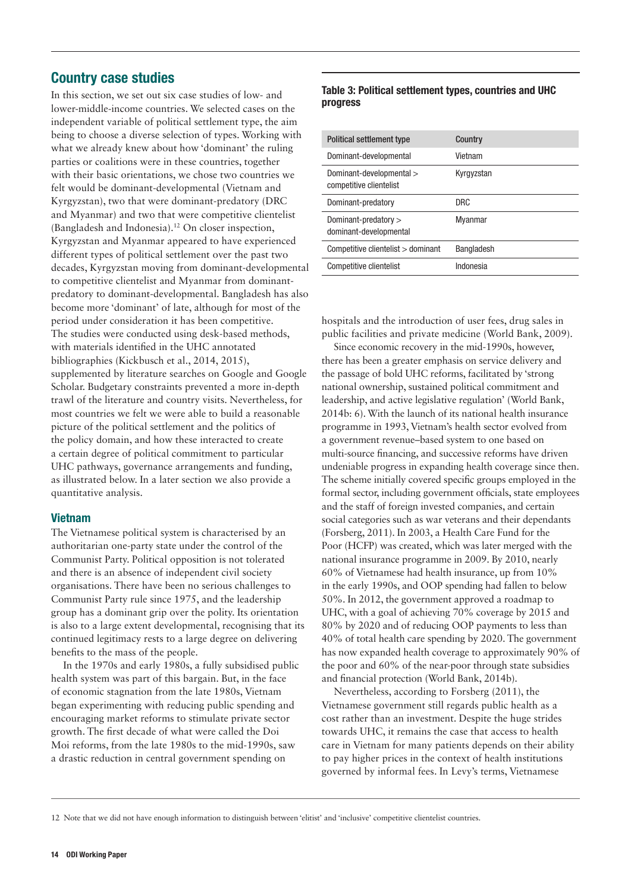# Country case studies

In this section, we set out six case studies of low- and lower-middle-income countries. We selected cases on the independent variable of political settlement type, the aim being to choose a diverse selection of types. Working with what we already knew about how 'dominant' the ruling parties or coalitions were in these countries, together with their basic orientations, we chose two countries we felt would be dominant-developmental (Vietnam and Kyrgyzstan), two that were dominant-predatory (DRC and Myanmar) and two that were competitive clientelist (Bangladesh and Indonesia).12 On closer inspection, Kyrgyzstan and Myanmar appeared to have experienced different types of political settlement over the past two decades, Kyrgyzstan moving from dominant-developmental to competitive clientelist and Myanmar from dominantpredatory to dominant-developmental. Bangladesh has also become more 'dominant' of late, although for most of the period under consideration it has been competitive. The studies were conducted using desk-based methods, with materials identified in the UHC annotated bibliographies (Kickbusch et al., 2014, 2015), supplemented by literature searches on Google and Google Scholar. Budgetary constraints prevented a more in-depth trawl of the literature and country visits. Nevertheless, for most countries we felt we were able to build a reasonable picture of the political settlement and the politics of the policy domain, and how these interacted to create a certain degree of political commitment to particular UHC pathways, governance arrangements and funding, as illustrated below. In a later section we also provide a quantitative analysis.

#### Vietnam

The Vietnamese political system is characterised by an authoritarian one-party state under the control of the Communist Party. Political opposition is not tolerated and there is an absence of independent civil society organisations. There have been no serious challenges to Communist Party rule since 1975, and the leadership group has a dominant grip over the polity. Its orientation is also to a large extent developmental, recognising that its continued legitimacy rests to a large degree on delivering benefits to the mass of the people.

In the 1970s and early 1980s, a fully subsidised public health system was part of this bargain. But, in the face of economic stagnation from the late 1980s, Vietnam began experimenting with reducing public spending and encouraging market reforms to stimulate private sector growth. The first decade of what were called the Doi Moi reforms, from the late 1980s to the mid-1990s, saw a drastic reduction in central government spending on

#### Table 3: Political settlement types, countries and UHC progress

| Political settlement type                           | Country    |
|-----------------------------------------------------|------------|
| Dominant-developmental                              | Vietnam    |
| Dominant-developmental ><br>competitive clientelist | Kyrgyzstan |
| Dominant-predatory                                  | DRC.       |
| Dominant-predatory ><br>dominant-developmental      | Myanmar    |
| Competitive clientelist > dominant                  | Bangladesh |
| Competitive clientelist                             | Indonesia  |

hospitals and the introduction of user fees, drug sales in public facilities and private medicine (World Bank, 2009).

Since economic recovery in the mid-1990s, however, there has been a greater emphasis on service delivery and the passage of bold UHC reforms, facilitated by 'strong national ownership, sustained political commitment and leadership, and active legislative regulation' (World Bank, 2014b: 6). With the launch of its national health insurance programme in 1993, Vietnam's health sector evolved from a government revenue–based system to one based on multi-source financing, and successive reforms have driven undeniable progress in expanding health coverage since then. The scheme initially covered specific groups employed in the formal sector, including government officials, state employees and the staff of foreign invested companies, and certain social categories such as war veterans and their dependants (Forsberg, 2011). In 2003, a Health Care Fund for the Poor (HCFP) was created, which was later merged with the national insurance programme in 2009. By 2010, nearly 60% of Vietnamese had health insurance, up from 10% in the early 1990s, and OOP spending had fallen to below 50%. In 2012, the government approved a roadmap to UHC, with a goal of achieving 70% coverage by 2015 and 80% by 2020 and of reducing OOP payments to less than 40% of total health care spending by 2020. The government has now expanded health coverage to approximately 90% of the poor and 60% of the near-poor through state subsidies and financial protection (World Bank, 2014b).

Nevertheless, according to Forsberg (2011), the Vietnamese government still regards public health as a cost rather than an investment. Despite the huge strides towards UHC, it remains the case that access to health care in Vietnam for many patients depends on their ability to pay higher prices in the context of health institutions governed by informal fees. In Levy's terms, Vietnamese

<sup>12</sup> Note that we did not have enough information to distinguish between 'elitist' and 'inclusive' competitive clientelist countries.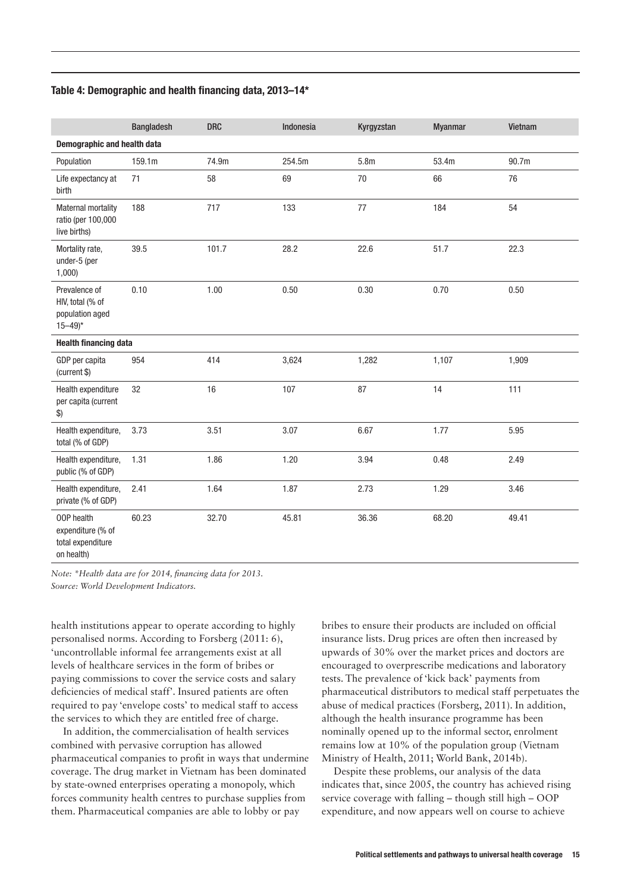#### Table 4: Demographic and health financing data, 2013–14\*

|                                                                                | <b>Bangladesh</b> | <b>DRC</b> | Indonesia | Kyrgyzstan       | <b>Myanmar</b> | Vietnam |
|--------------------------------------------------------------------------------|-------------------|------------|-----------|------------------|----------------|---------|
| Demographic and health data                                                    |                   |            |           |                  |                |         |
| Population                                                                     | 159.1m            | 74.9m      | 254.5m    | 5.8 <sub>m</sub> | 53.4m          | 90.7m   |
| Life expectancy at<br>birth                                                    | 71                | 58         | 69        | $70\,$           | 66             | 76      |
| <b>Maternal mortality</b><br>ratio (per 100,000<br>live births)                | 188               | 717        | 133       | 77               | 184            | 54      |
| Mortality rate,<br>under-5 (per<br>1,000                                       | 39.5              | 101.7      | 28.2      | 22.6             | 51.7           | 22.3    |
| Prevalence of<br>HIV, total (% of<br>population aged<br>$15 - 49$ <sup>*</sup> | 0.10              | 1.00       | 0.50      | 0.30             | 0.70           | 0.50    |
| <b>Health financing data</b>                                                   |                   |            |           |                  |                |         |
| GDP per capita<br>(current \$)                                                 | 954               | 414        | 3,624     | 1,282            | 1,107          | 1,909   |
| Health expenditure<br>per capita (current<br>$\boldsymbol{\$})$                | 32                | 16         | 107       | 87               | 14             | 111     |
| Health expenditure,<br>total (% of GDP)                                        | 3.73              | 3.51       | 3.07      | 6.67             | 1.77           | 5.95    |
| Health expenditure,<br>public (% of GDP)                                       | 1.31              | 1.86       | 1.20      | 3.94             | 0.48           | 2.49    |
| Health expenditure,<br>private (% of GDP)                                      | 2.41              | 1.64       | 1.87      | 2.73             | 1.29           | 3.46    |
| 00P health<br>expenditure (% of<br>total expenditure<br>on health)             | 60.23             | 32.70      | 45.81     | 36.36            | 68.20          | 49.41   |

*Note: \*Health data are for 2014, financing data for 2013. Source: World Development Indicators.*

health institutions appear to operate according to highly personalised norms. According to Forsberg (2011: 6), 'uncontrollable informal fee arrangements exist at all levels of healthcare services in the form of bribes or paying commissions to cover the service costs and salary deficiencies of medical staff'. Insured patients are often required to pay 'envelope costs' to medical staff to access the services to which they are entitled free of charge.

In addition, the commercialisation of health services combined with pervasive corruption has allowed pharmaceutical companies to profit in ways that undermine coverage. The drug market in Vietnam has been dominated by state-owned enterprises operating a monopoly, which forces community health centres to purchase supplies from them. Pharmaceutical companies are able to lobby or pay

bribes to ensure their products are included on official insurance lists. Drug prices are often then increased by upwards of 30% over the market prices and doctors are encouraged to overprescribe medications and laboratory tests. The prevalence of 'kick back' payments from pharmaceutical distributors to medical staff perpetuates the abuse of medical practices (Forsberg, 2011). In addition, although the health insurance programme has been nominally opened up to the informal sector, enrolment remains low at 10% of the population group (Vietnam Ministry of Health, 2011; World Bank, 2014b).

Despite these problems, our analysis of the data indicates that, since 2005, the country has achieved rising service coverage with falling – though still high – OOP expenditure, and now appears well on course to achieve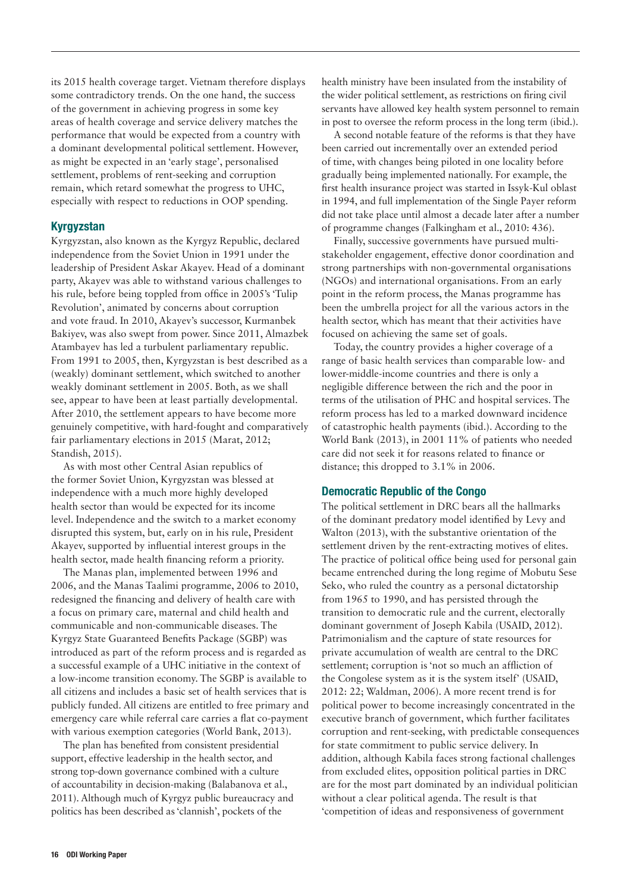its 2015 health coverage target. Vietnam therefore displays some contradictory trends. On the one hand, the success of the government in achieving progress in some key areas of health coverage and service delivery matches the performance that would be expected from a country with a dominant developmental political settlement. However, as might be expected in an 'early stage', personalised settlement, problems of rent-seeking and corruption remain, which retard somewhat the progress to UHC, especially with respect to reductions in OOP spending.

#### Kyrgyzstan

Kyrgyzstan, also known as the Kyrgyz Republic, declared independence from the Soviet Union in 1991 under the leadership of President Askar Akayev. Head of a dominant party, Akayev was able to withstand various challenges to his rule, before being toppled from office in 2005's 'Tulip Revolution', animated by concerns about corruption and vote fraud. In 2010, Akayev's successor, Kurmanbek Bakiyev, was also swept from power. Since 2011, Almazbek Atambayev has led a turbulent parliamentary republic. From 1991 to 2005, then, Kyrgyzstan is best described as a (weakly) dominant settlement, which switched to another weakly dominant settlement in 2005. Both, as we shall see, appear to have been at least partially developmental. After 2010, the settlement appears to have become more genuinely competitive, with hard-fought and comparatively fair parliamentary elections in 2015 (Marat, 2012; Standish, 2015).

As with most other Central Asian republics of the former Soviet Union, Kyrgyzstan was blessed at independence with a much more highly developed health sector than would be expected for its income level. Independence and the switch to a market economy disrupted this system, but, early on in his rule, President Akayev, supported by influential interest groups in the health sector, made health financing reform a priority.

The Manas plan, implemented between 1996 and 2006, and the Manas Taalimi programme, 2006 to 2010, redesigned the financing and delivery of health care with a focus on primary care, maternal and child health and communicable and non-communicable diseases. The Kyrgyz State Guaranteed Benefits Package (SGBP) was introduced as part of the reform process and is regarded as a successful example of a UHC initiative in the context of a low-income transition economy. The SGBP is available to all citizens and includes a basic set of health services that is publicly funded. All citizens are entitled to free primary and emergency care while referral care carries a flat co-payment with various exemption categories (World Bank, 2013).

The plan has benefited from consistent presidential support, effective leadership in the health sector, and strong top-down governance combined with a culture of accountability in decision-making (Balabanova et al., 2011). Although much of Kyrgyz public bureaucracy and politics has been described as 'clannish', pockets of the

health ministry have been insulated from the instability of the wider political settlement, as restrictions on firing civil servants have allowed key health system personnel to remain in post to oversee the reform process in the long term (ibid.).

A second notable feature of the reforms is that they have been carried out incrementally over an extended period of time, with changes being piloted in one locality before gradually being implemented nationally. For example, the first health insurance project was started in Issyk-Kul oblast in 1994, and full implementation of the Single Payer reform did not take place until almost a decade later after a number of programme changes (Falkingham et al., 2010: 436).

Finally, successive governments have pursued multistakeholder engagement, effective donor coordination and strong partnerships with non-governmental organisations (NGOs) and international organisations. From an early point in the reform process, the Manas programme has been the umbrella project for all the various actors in the health sector, which has meant that their activities have focused on achieving the same set of goals.

Today, the country provides a higher coverage of a range of basic health services than comparable low- and lower-middle-income countries and there is only a negligible difference between the rich and the poor in terms of the utilisation of PHC and hospital services. The reform process has led to a marked downward incidence of catastrophic health payments (ibid.). According to the World Bank (2013), in 2001 11% of patients who needed care did not seek it for reasons related to finance or distance; this dropped to 3.1% in 2006.

#### Democratic Republic of the Congo

The political settlement in DRC bears all the hallmarks of the dominant predatory model identified by Levy and Walton (2013), with the substantive orientation of the settlement driven by the rent-extracting motives of elites. The practice of political office being used for personal gain became entrenched during the long regime of Mobutu Sese Seko, who ruled the country as a personal dictatorship from 1965 to 1990, and has persisted through the transition to democratic rule and the current, electorally dominant government of Joseph Kabila (USAID, 2012). Patrimonialism and the capture of state resources for private accumulation of wealth are central to the DRC settlement; corruption is 'not so much an affliction of the Congolese system as it is the system itself' (USAID, 2012: 22; Waldman, 2006). A more recent trend is for political power to become increasingly concentrated in the executive branch of government, which further facilitates corruption and rent-seeking, with predictable consequences for state commitment to public service delivery. In addition, although Kabila faces strong factional challenges from excluded elites, opposition political parties in DRC are for the most part dominated by an individual politician without a clear political agenda. The result is that 'competition of ideas and responsiveness of government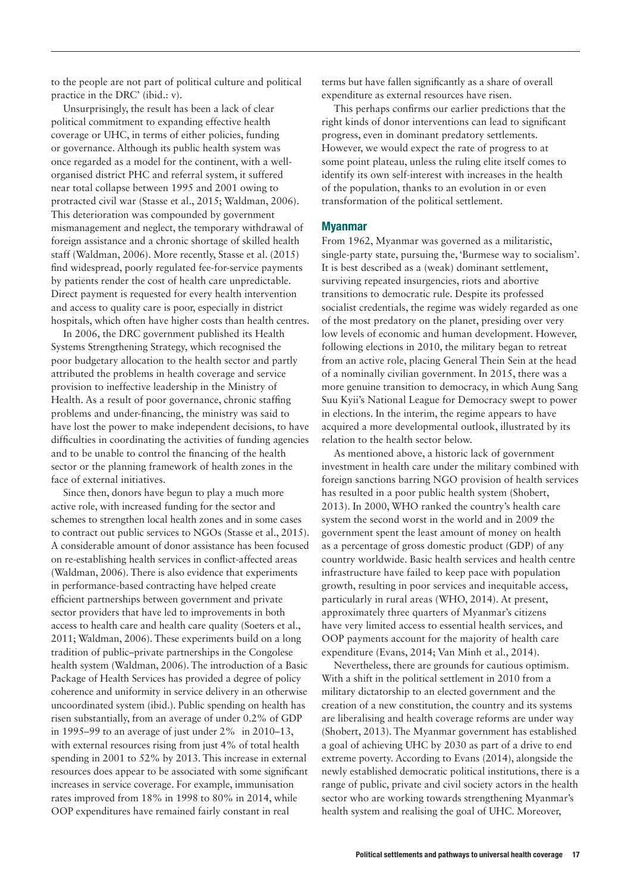to the people are not part of political culture and political practice in the DRC' (ibid.: v).

Unsurprisingly, the result has been a lack of clear political commitment to expanding effective health coverage or UHC, in terms of either policies, funding or governance. Although its public health system was once regarded as a model for the continent, with a wellorganised district PHC and referral system, it suffered near total collapse between 1995 and 2001 owing to protracted civil war (Stasse et al., 2015; Waldman, 2006). This deterioration was compounded by government mismanagement and neglect, the temporary withdrawal of foreign assistance and a chronic shortage of skilled health staff (Waldman, 2006). More recently, Stasse et al. (2015) find widespread, poorly regulated fee-for-service payments by patients render the cost of health care unpredictable. Direct payment is requested for every health intervention and access to quality care is poor, especially in district hospitals, which often have higher costs than health centres.

In 2006, the DRC government published its Health Systems Strengthening Strategy, which recognised the poor budgetary allocation to the health sector and partly attributed the problems in health coverage and service provision to ineffective leadership in the Ministry of Health. As a result of poor governance, chronic staffing problems and under-financing, the ministry was said to have lost the power to make independent decisions, to have difficulties in coordinating the activities of funding agencies and to be unable to control the financing of the health sector or the planning framework of health zones in the face of external initiatives.

Since then, donors have begun to play a much more active role, with increased funding for the sector and schemes to strengthen local health zones and in some cases to contract out public services to NGOs (Stasse et al., 2015). A considerable amount of donor assistance has been focused on re-establishing health services in conflict-affected areas (Waldman, 2006). There is also evidence that experiments in performance-based contracting have helped create efficient partnerships between government and private sector providers that have led to improvements in both access to health care and health care quality (Soeters et al., 2011; Waldman, 2006). These experiments build on a long tradition of public–private partnerships in the Congolese health system (Waldman, 2006). The introduction of a Basic Package of Health Services has provided a degree of policy coherence and uniformity in service delivery in an otherwise uncoordinated system (ibid.). Public spending on health has risen substantially, from an average of under 0.2% of GDP in 1995–99 to an average of just under 2% in 2010–13, with external resources rising from just 4% of total health spending in 2001 to 52% by 2013. This increase in external resources does appear to be associated with some significant increases in service coverage. For example, immunisation rates improved from 18% in 1998 to 80% in 2014, while OOP expenditures have remained fairly constant in real

terms but have fallen significantly as a share of overall expenditure as external resources have risen.

This perhaps confirms our earlier predictions that the right kinds of donor interventions can lead to significant progress, even in dominant predatory settlements. However, we would expect the rate of progress to at some point plateau, unless the ruling elite itself comes to identify its own self-interest with increases in the health of the population, thanks to an evolution in or even transformation of the political settlement.

#### Myanmar

From 1962, Myanmar was governed as a militaristic, single-party state, pursuing the, 'Burmese way to socialism'. It is best described as a (weak) dominant settlement, surviving repeated insurgencies, riots and abortive transitions to democratic rule. Despite its professed socialist credentials, the regime was widely regarded as one of the most predatory on the planet, presiding over very low levels of economic and human development. However, following elections in 2010, the military began to retreat from an active role, placing General Thein Sein at the head of a nominally civilian government. In 2015, there was a more genuine transition to democracy, in which Aung Sang Suu Kyii's National League for Democracy swept to power in elections. In the interim, the regime appears to have acquired a more developmental outlook, illustrated by its relation to the health sector below.

As mentioned above, a historic lack of government investment in health care under the military combined with foreign sanctions barring NGO provision of health services has resulted in a poor public health system (Shobert, 2013). In 2000, WHO ranked the country's health care system the second worst in the world and in 2009 the government spent the least amount of money on health as a percentage of gross domestic product (GDP) of any country worldwide. Basic health services and health centre infrastructure have failed to keep pace with population growth, resulting in poor services and inequitable access, particularly in rural areas (WHO, 2014). At present, approximately three quarters of Myanmar's citizens have very limited access to essential health services, and OOP payments account for the majority of health care expenditure (Evans, 2014; Van Minh et al., 2014).

Nevertheless, there are grounds for cautious optimism. With a shift in the political settlement in 2010 from a military dictatorship to an elected government and the creation of a new constitution, the country and its systems are liberalising and health coverage reforms are under way (Shobert, 2013). The Myanmar government has established a goal of achieving UHC by 2030 as part of a drive to end extreme poverty. According to Evans (2014), alongside the newly established democratic political institutions, there is a range of public, private and civil society actors in the health sector who are working towards strengthening Myanmar's health system and realising the goal of UHC. Moreover,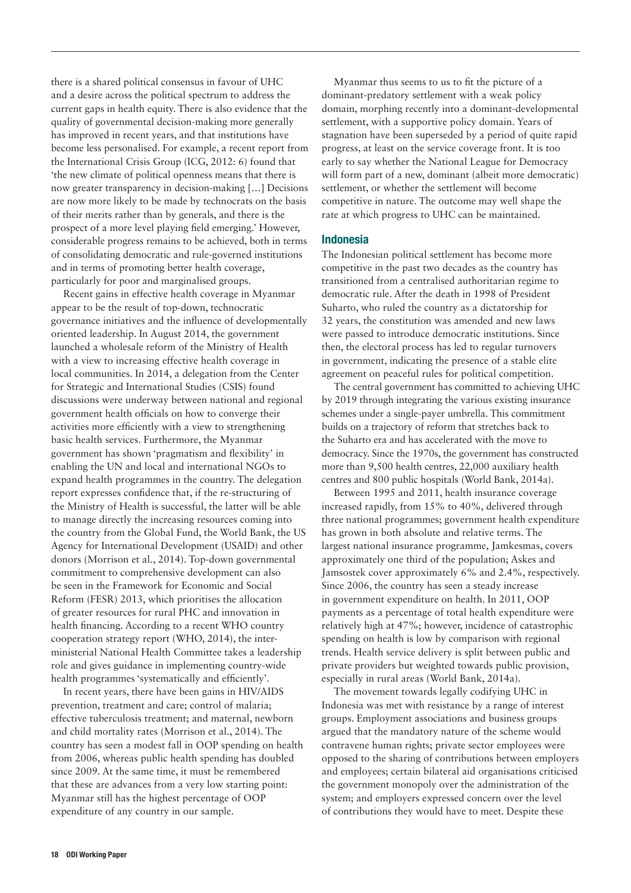there is a shared political consensus in favour of UHC and a desire across the political spectrum to address the current gaps in health equity. There is also evidence that the quality of governmental decision-making more generally has improved in recent years, and that institutions have become less personalised. For example, a recent report from the International Crisis Group (ICG, 2012: 6) found that 'the new climate of political openness means that there is now greater transparency in decision-making […] Decisions are now more likely to be made by technocrats on the basis of their merits rather than by generals, and there is the prospect of a more level playing field emerging.' However, considerable progress remains to be achieved, both in terms of consolidating democratic and rule-governed institutions and in terms of promoting better health coverage, particularly for poor and marginalised groups.

Recent gains in effective health coverage in Myanmar appear to be the result of top-down, technocratic governance initiatives and the influence of developmentally oriented leadership. In August 2014, the government launched a wholesale reform of the Ministry of Health with a view to increasing effective health coverage in local communities. In 2014, a delegation from the Center for Strategic and International Studies (CSIS) found discussions were underway between national and regional government health officials on how to converge their activities more efficiently with a view to strengthening basic health services. Furthermore, the Myanmar government has shown 'pragmatism and flexibility' in enabling the UN and local and international NGOs to expand health programmes in the country. The delegation report expresses confidence that, if the re-structuring of the Ministry of Health is successful, the latter will be able to manage directly the increasing resources coming into the country from the Global Fund, the World Bank, the US Agency for International Development (USAID) and other donors (Morrison et al., 2014). Top-down governmental commitment to comprehensive development can also be seen in the Framework for Economic and Social Reform (FESR) 2013, which prioritises the allocation of greater resources for rural PHC and innovation in health financing. According to a recent WHO country cooperation strategy report (WHO, 2014), the interministerial National Health Committee takes a leadership role and gives guidance in implementing country-wide health programmes 'systematically and efficiently'.

In recent years, there have been gains in HIV/AIDS prevention, treatment and care; control of malaria; effective tuberculosis treatment; and maternal, newborn and child mortality rates (Morrison et al., 2014). The country has seen a modest fall in OOP spending on health from 2006, whereas public health spending has doubled since 2009. At the same time, it must be remembered that these are advances from a very low starting point: Myanmar still has the highest percentage of OOP expenditure of any country in our sample.

Myanmar thus seems to us to fit the picture of a dominant-predatory settlement with a weak policy domain, morphing recently into a dominant-developmental settlement, with a supportive policy domain. Years of stagnation have been superseded by a period of quite rapid progress, at least on the service coverage front. It is too early to say whether the National League for Democracy will form part of a new, dominant (albeit more democratic) settlement, or whether the settlement will become competitive in nature. The outcome may well shape the rate at which progress to UHC can be maintained.

#### Indonesia

The Indonesian political settlement has become more competitive in the past two decades as the country has transitioned from a centralised authoritarian regime to democratic rule. After the death in 1998 of President Suharto, who ruled the country as a dictatorship for 32 years, the constitution was amended and new laws were passed to introduce democratic institutions. Since then, the electoral process has led to regular turnovers in government, indicating the presence of a stable elite agreement on peaceful rules for political competition.

The central government has committed to achieving UHC by 2019 through integrating the various existing insurance schemes under a single-payer umbrella. This commitment builds on a trajectory of reform that stretches back to the Suharto era and has accelerated with the move to democracy. Since the 1970s, the government has constructed more than 9,500 health centres, 22,000 auxiliary health centres and 800 public hospitals (World Bank, 2014a).

Between 1995 and 2011, health insurance coverage increased rapidly, from 15% to 40%, delivered through three national programmes; government health expenditure has grown in both absolute and relative terms. The largest national insurance programme, Jamkesmas, covers approximately one third of the population; Askes and Jamsostek cover approximately 6% and 2.4%, respectively. Since 2006, the country has seen a steady increase in government expenditure on health. In 2011, OOP payments as a percentage of total health expenditure were relatively high at 47%; however, incidence of catastrophic spending on health is low by comparison with regional trends. Health service delivery is split between public and private providers but weighted towards public provision, especially in rural areas (World Bank, 2014a).

The movement towards legally codifying UHC in Indonesia was met with resistance by a range of interest groups. Employment associations and business groups argued that the mandatory nature of the scheme would contravene human rights; private sector employees were opposed to the sharing of contributions between employers and employees; certain bilateral aid organisations criticised the government monopoly over the administration of the system; and employers expressed concern over the level of contributions they would have to meet. Despite these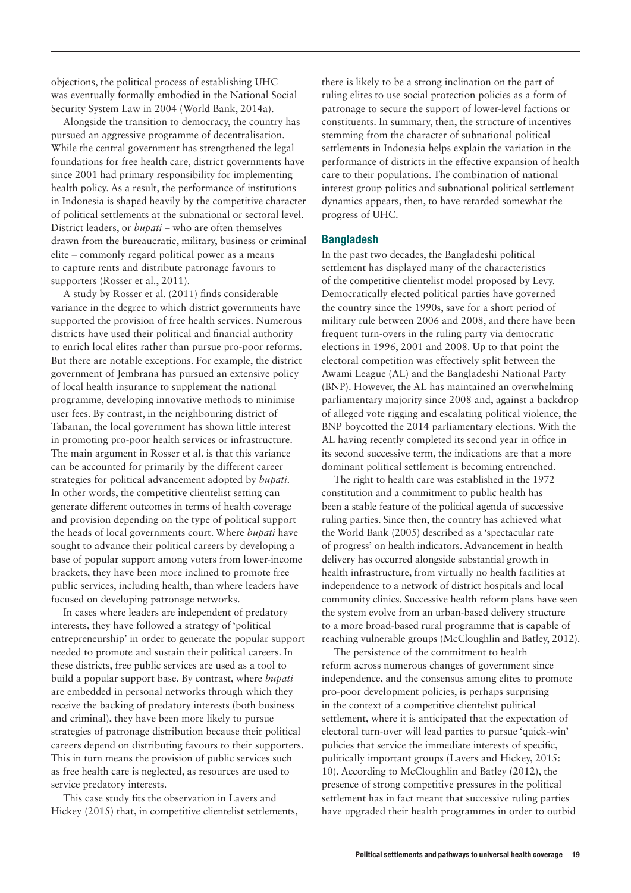objections, the political process of establishing UHC was eventually formally embodied in the National Social Security System Law in 2004 (World Bank, 2014a).

Alongside the transition to democracy, the country has pursued an aggressive programme of decentralisation. While the central government has strengthened the legal foundations for free health care, district governments have since 2001 had primary responsibility for implementing health policy. As a result, the performance of institutions in Indonesia is shaped heavily by the competitive character of political settlements at the subnational or sectoral level. District leaders, or *bupati* – who are often themselves drawn from the bureaucratic, military, business or criminal elite – commonly regard political power as a means to capture rents and distribute patronage favours to supporters (Rosser et al., 2011).

A study by Rosser et al. (2011) finds considerable variance in the degree to which district governments have supported the provision of free health services. Numerous districts have used their political and financial authority to enrich local elites rather than pursue pro-poor reforms. But there are notable exceptions. For example, the district government of Jembrana has pursued an extensive policy of local health insurance to supplement the national programme, developing innovative methods to minimise user fees. By contrast, in the neighbouring district of Tabanan, the local government has shown little interest in promoting pro-poor health services or infrastructure. The main argument in Rosser et al. is that this variance can be accounted for primarily by the different career strategies for political advancement adopted by *bupati*. In other words, the competitive clientelist setting can generate different outcomes in terms of health coverage and provision depending on the type of political support the heads of local governments court. Where *bupati* have sought to advance their political careers by developing a base of popular support among voters from lower-income brackets, they have been more inclined to promote free public services, including health, than where leaders have focused on developing patronage networks.

In cases where leaders are independent of predatory interests, they have followed a strategy of 'political entrepreneurship' in order to generate the popular support needed to promote and sustain their political careers. In these districts, free public services are used as a tool to build a popular support base. By contrast, where *bupati*  are embedded in personal networks through which they receive the backing of predatory interests (both business and criminal), they have been more likely to pursue strategies of patronage distribution because their political careers depend on distributing favours to their supporters. This in turn means the provision of public services such as free health care is neglected, as resources are used to service predatory interests.

This case study fits the observation in Lavers and Hickey (2015) that, in competitive clientelist settlements, there is likely to be a strong inclination on the part of ruling elites to use social protection policies as a form of patronage to secure the support of lower-level factions or constituents. In summary, then, the structure of incentives stemming from the character of subnational political settlements in Indonesia helps explain the variation in the performance of districts in the effective expansion of health care to their populations. The combination of national interest group politics and subnational political settlement dynamics appears, then, to have retarded somewhat the progress of UHC.

#### Bangladesh

In the past two decades, the Bangladeshi political settlement has displayed many of the characteristics of the competitive clientelist model proposed by Levy. Democratically elected political parties have governed the country since the 1990s, save for a short period of military rule between 2006 and 2008, and there have been frequent turn-overs in the ruling party via democratic elections in 1996, 2001 and 2008. Up to that point the electoral competition was effectively split between the Awami League (AL) and the Bangladeshi National Party (BNP). However, the AL has maintained an overwhelming parliamentary majority since 2008 and, against a backdrop of alleged vote rigging and escalating political violence, the BNP boycotted the 2014 parliamentary elections. With the AL having recently completed its second year in office in its second successive term, the indications are that a more dominant political settlement is becoming entrenched.

The right to health care was established in the 1972 constitution and a commitment to public health has been a stable feature of the political agenda of successive ruling parties. Since then, the country has achieved what the World Bank (2005) described as a 'spectacular rate of progress' on health indicators. Advancement in health delivery has occurred alongside substantial growth in health infrastructure, from virtually no health facilities at independence to a network of district hospitals and local community clinics. Successive health reform plans have seen the system evolve from an urban-based delivery structure to a more broad-based rural programme that is capable of reaching vulnerable groups (McCloughlin and Batley, 2012).

The persistence of the commitment to health reform across numerous changes of government since independence, and the consensus among elites to promote pro-poor development policies, is perhaps surprising in the context of a competitive clientelist political settlement, where it is anticipated that the expectation of electoral turn-over will lead parties to pursue 'quick-win' policies that service the immediate interests of specific, politically important groups (Lavers and Hickey, 2015: 10). According to McCloughlin and Batley (2012), the presence of strong competitive pressures in the political settlement has in fact meant that successive ruling parties have upgraded their health programmes in order to outbid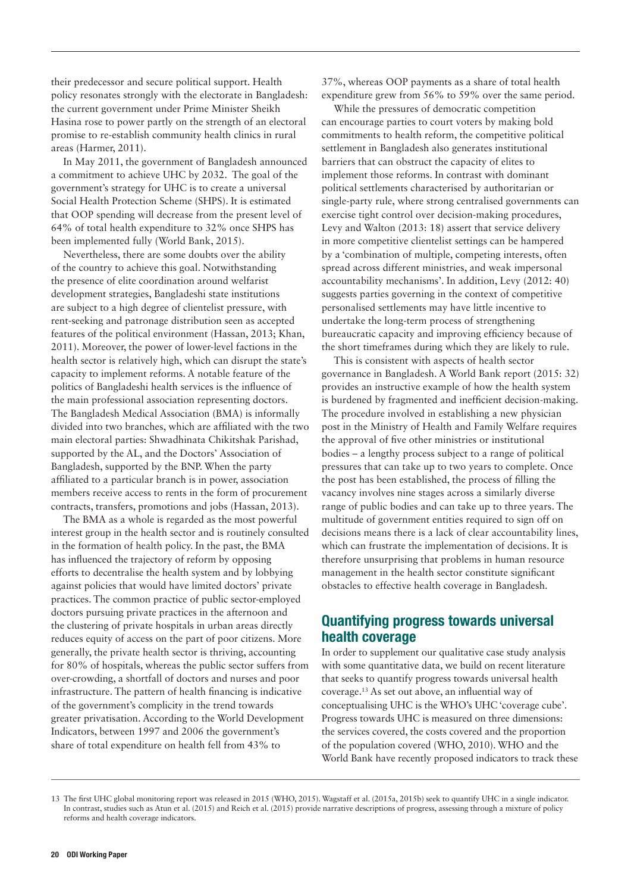their predecessor and secure political support. Health policy resonates strongly with the electorate in Bangladesh: the current government under Prime Minister Sheikh Hasina rose to power partly on the strength of an electoral promise to re-establish community health clinics in rural areas (Harmer, 2011).

In May 2011, the government of Bangladesh announced a commitment to achieve UHC by 2032. The goal of the government's strategy for UHC is to create a universal Social Health Protection Scheme (SHPS). It is estimated that OOP spending will decrease from the present level of 64% of total health expenditure to 32% once SHPS has been implemented fully (World Bank, 2015).

Nevertheless, there are some doubts over the ability of the country to achieve this goal. Notwithstanding the presence of elite coordination around welfarist development strategies, Bangladeshi state institutions are subject to a high degree of clientelist pressure, with rent-seeking and patronage distribution seen as accepted features of the political environment (Hassan, 2013; Khan, 2011). Moreover, the power of lower-level factions in the health sector is relatively high, which can disrupt the state's capacity to implement reforms. A notable feature of the politics of Bangladeshi health services is the influence of the main professional association representing doctors. The Bangladesh Medical Association (BMA) is informally divided into two branches, which are affiliated with the two main electoral parties: Shwadhinata Chikitshak Parishad, supported by the AL, and the Doctors' Association of Bangladesh, supported by the BNP. When the party affiliated to a particular branch is in power, association members receive access to rents in the form of procurement contracts, transfers, promotions and jobs (Hassan, 2013).

The BMA as a whole is regarded as the most powerful interest group in the health sector and is routinely consulted in the formation of health policy. In the past, the BMA has influenced the trajectory of reform by opposing efforts to decentralise the health system and by lobbying against policies that would have limited doctors' private practices. The common practice of public sector-employed doctors pursuing private practices in the afternoon and the clustering of private hospitals in urban areas directly reduces equity of access on the part of poor citizens. More generally, the private health sector is thriving, accounting for 80% of hospitals, whereas the public sector suffers from over-crowding, a shortfall of doctors and nurses and poor infrastructure. The pattern of health financing is indicative of the government's complicity in the trend towards greater privatisation. According to the World Development Indicators, between 1997 and 2006 the government's share of total expenditure on health fell from 43% to

37%, whereas OOP payments as a share of total health expenditure grew from 56% to 59% over the same period.

While the pressures of democratic competition can encourage parties to court voters by making bold commitments to health reform, the competitive political settlement in Bangladesh also generates institutional barriers that can obstruct the capacity of elites to implement those reforms. In contrast with dominant political settlements characterised by authoritarian or single-party rule, where strong centralised governments can exercise tight control over decision-making procedures, Levy and Walton (2013: 18) assert that service delivery in more competitive clientelist settings can be hampered by a 'combination of multiple, competing interests, often spread across different ministries, and weak impersonal accountability mechanisms'. In addition, Levy (2012: 40) suggests parties governing in the context of competitive personalised settlements may have little incentive to undertake the long-term process of strengthening bureaucratic capacity and improving efficiency because of the short timeframes during which they are likely to rule.

This is consistent with aspects of health sector governance in Bangladesh. A World Bank report (2015: 32) provides an instructive example of how the health system is burdened by fragmented and inefficient decision-making. The procedure involved in establishing a new physician post in the Ministry of Health and Family Welfare requires the approval of five other ministries or institutional bodies – a lengthy process subject to a range of political pressures that can take up to two years to complete. Once the post has been established, the process of filling the vacancy involves nine stages across a similarly diverse range of public bodies and can take up to three years. The multitude of government entities required to sign off on decisions means there is a lack of clear accountability lines, which can frustrate the implementation of decisions. It is therefore unsurprising that problems in human resource management in the health sector constitute significant obstacles to effective health coverage in Bangladesh.

# Quantifying progress towards universal health coverage

In order to supplement our qualitative case study analysis with some quantitative data, we build on recent literature that seeks to quantify progress towards universal health coverage.13 As set out above, an influential way of conceptualising UHC is the WHO's UHC 'coverage cube'. Progress towards UHC is measured on three dimensions: the services covered, the costs covered and the proportion of the population covered (WHO, 2010). WHO and the World Bank have recently proposed indicators to track these

<sup>13</sup> The first UHC global monitoring report was released in 2015 (WHO, 2015). Wagstaff et al. (2015a, 2015b) seek to quantify UHC in a single indicator. In contrast, studies such as Atun et al. (2015) and Reich et al. (2015) provide narrative descriptions of progress, assessing through a mixture of policy reforms and health coverage indicators.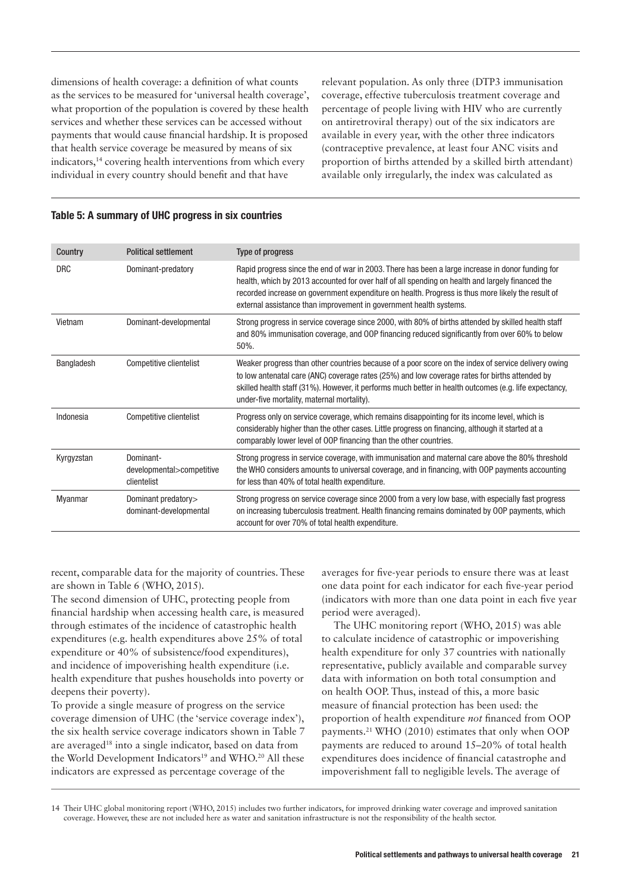dimensions of health coverage: a definition of what counts as the services to be measured for 'universal health coverage', what proportion of the population is covered by these health services and whether these services can be accessed without payments that would cause financial hardship. It is proposed that health service coverage be measured by means of six indicators,<sup>14</sup> covering health interventions from which every individual in every country should benefit and that have

relevant population. As only three (DTP3 immunisation coverage, effective tuberculosis treatment coverage and percentage of people living with HIV who are currently on antiretroviral therapy) out of the six indicators are available in every year, with the other three indicators (contraceptive prevalence, at least four ANC visits and proportion of births attended by a skilled birth attendant) available only irregularly, the index was calculated as

#### Table 5: A summary of UHC progress in six countries

| Country        | <b>Political settlement</b>                           | Type of progress                                                                                                                                                                                                                                                                                                                                                                 |
|----------------|-------------------------------------------------------|----------------------------------------------------------------------------------------------------------------------------------------------------------------------------------------------------------------------------------------------------------------------------------------------------------------------------------------------------------------------------------|
| <b>DRC</b>     | Dominant-predatory                                    | Rapid progress since the end of war in 2003. There has been a large increase in donor funding for<br>health, which by 2013 accounted for over half of all spending on health and largely financed the<br>recorded increase on government expenditure on health. Progress is thus more likely the result of<br>external assistance than improvement in government health systems. |
| Vietnam        | Dominant-developmental                                | Strong progress in service coverage since 2000, with 80% of births attended by skilled health staff<br>and 80% immunisation coverage, and OOP financing reduced significantly from over 60% to below<br>50%.                                                                                                                                                                     |
| Bangladesh     | Competitive clientelist                               | Weaker progress than other countries because of a poor score on the index of service delivery owing<br>to low antenatal care (ANC) coverage rates (25%) and low coverage rates for births attended by<br>skilled health staff (31%). However, it performs much better in health outcomes (e.g. life expectancy,<br>under-five mortality, maternal mortality).                    |
| Indonesia      | Competitive clientelist                               | Progress only on service coverage, which remains disappointing for its income level, which is<br>considerably higher than the other cases. Little progress on financing, although it started at a<br>comparably lower level of OOP financing than the other countries.                                                                                                           |
| Kyrgyzstan     | Dominant-<br>developmental>competitive<br>clientelist | Strong progress in service coverage, with immunisation and maternal care above the 80% threshold<br>the WHO considers amounts to universal coverage, and in financing, with OOP payments accounting<br>for less than 40% of total health expenditure.                                                                                                                            |
| <b>Myanmar</b> | Dominant predatory><br>dominant-developmental         | Strong progress on service coverage since 2000 from a very low base, with especially fast progress<br>on increasing tuberculosis treatment. Health financing remains dominated by OOP payments, which<br>account for over 70% of total health expenditure.                                                                                                                       |
|                |                                                       |                                                                                                                                                                                                                                                                                                                                                                                  |

recent, comparable data for the majority of countries. These are shown in Table 6 (WHO, 2015).

The second dimension of UHC, protecting people from financial hardship when accessing health care, is measured through estimates of the incidence of catastrophic health expenditures (e.g. health expenditures above 25% of total expenditure or 40% of subsistence/food expenditures), and incidence of impoverishing health expenditure (i.e. health expenditure that pushes households into poverty or deepens their poverty).

To provide a single measure of progress on the service coverage dimension of UHC (the 'service coverage index'), the six health service coverage indicators shown in Table 7 are averaged18 into a single indicator, based on data from the World Development Indicators<sup>19</sup> and WHO.<sup>20</sup> All these indicators are expressed as percentage coverage of the

averages for five-year periods to ensure there was at least one data point for each indicator for each five-year period (indicators with more than one data point in each five year period were averaged).

The UHC monitoring report (WHO, 2015) was able to calculate incidence of catastrophic or impoverishing health expenditure for only 37 countries with nationally representative, publicly available and comparable survey data with information on both total consumption and on health OOP. Thus, instead of this, a more basic measure of financial protection has been used: the proportion of health expenditure *not* financed from OOP payments.21 WHO (2010) estimates that only when OOP payments are reduced to around 15–20% of total health expenditures does incidence of financial catastrophe and impoverishment fall to negligible levels. The average of

<sup>14</sup> Their UHC global monitoring report (WHO, 2015) includes two further indicators, for improved drinking water coverage and improved sanitation coverage. However, these are not included here as water and sanitation infrastructure is not the responsibility of the health sector.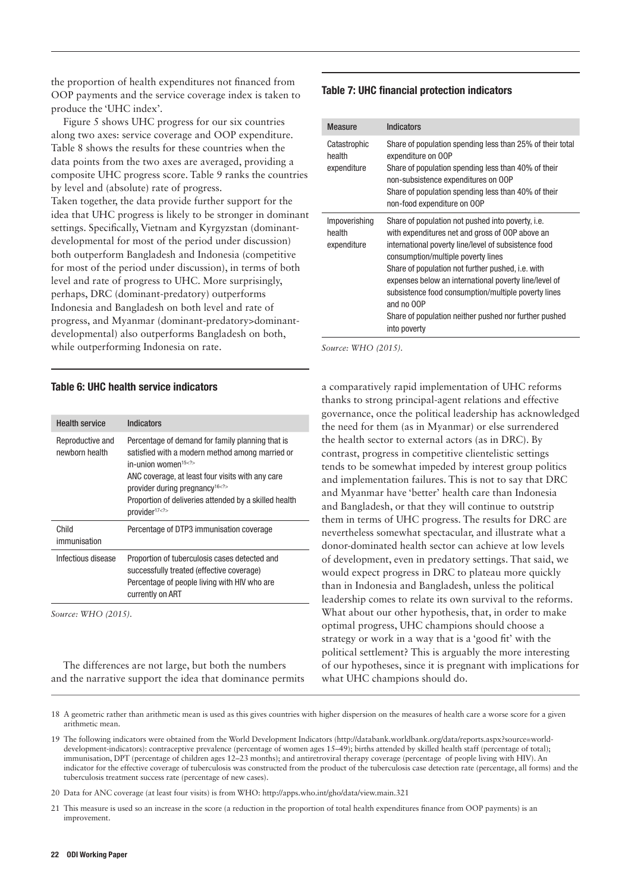the proportion of health expenditures not financed from OOP payments and the service coverage index is taken to produce the 'UHC index'.

Figure 5 shows UHC progress for our six countries along two axes: service coverage and OOP expenditure. Table 8 shows the results for these countries when the data points from the two axes are averaged, providing a composite UHC progress score. Table 9 ranks the countries by level and (absolute) rate of progress. Taken together, the data provide further support for the idea that UHC progress is likely to be stronger in dominant settings. Specifically, Vietnam and Kyrgyzstan (dominantdevelopmental for most of the period under discussion) both outperform Bangladesh and Indonesia (competitive for most of the period under discussion), in terms of both level and rate of progress to UHC. More surprisingly, perhaps, DRC (dominant-predatory) outperforms Indonesia and Bangladesh on both level and rate of progress, and Myanmar (dominant-predatory>dominantdevelopmental) also outperforms Bangladesh on both, while outperforming Indonesia on rate.

#### Table 6: UHC health service indicators

| <b>Health service</b>              | Indicators                                                                                                                                                                                                                                                                                                                        |
|------------------------------------|-----------------------------------------------------------------------------------------------------------------------------------------------------------------------------------------------------------------------------------------------------------------------------------------------------------------------------------|
| Reproductive and<br>newborn health | Percentage of demand for family planning that is<br>satisfied with a modern method among married or<br>in-union women <sup>15<? ></sup><br>ANC coverage, at least four visits with any care<br>provider during pregnancy <sup>16<? ></sup><br>Proportion of deliveries attended by a skilled health<br>provider <sup>17<? ></sup> |
| Child<br>immunisation              | Percentage of DTP3 immunisation coverage                                                                                                                                                                                                                                                                                          |
| Infectious disease                 | Proportion of tuberculosis cases detected and<br>successfully treated (effective coverage)<br>Percentage of people living with HIV who are<br>currently on ART                                                                                                                                                                    |

*Source: WHO (2015).*

The differences are not large, but both the numbers and the narrative support the idea that dominance permits

#### Table 7: UHC financial protection indicators

| <b>Measure</b>                         | <b>Indicators</b>                                                                                                                                                                                                                                                                                                                                                                                                                                                     |
|----------------------------------------|-----------------------------------------------------------------------------------------------------------------------------------------------------------------------------------------------------------------------------------------------------------------------------------------------------------------------------------------------------------------------------------------------------------------------------------------------------------------------|
| Catastrophic<br>health<br>expenditure  | Share of population spending less than 25% of their total<br>expenditure on OOP<br>Share of population spending less than 40% of their<br>non-subsistence expenditures on OOP<br>Share of population spending less than 40% of their<br>non-food expenditure on OOP                                                                                                                                                                                                   |
| Impoverishing<br>health<br>expenditure | Share of population not pushed into poverty, <i>i.e.</i><br>with expenditures net and gross of OOP above an<br>international poverty line/level of subsistence food<br>consumption/multiple poverty lines<br>Share of population not further pushed, i.e. with<br>expenses below an international poverty line/level of<br>subsistence food consumption/multiple poverty lines<br>and no OOP<br>Share of population neither pushed nor further pushed<br>into poverty |

*Source: WHO (2015).*

a comparatively rapid implementation of UHC reforms thanks to strong principal-agent relations and effective governance, once the political leadership has acknowledged the need for them (as in Myanmar) or else surrendered the health sector to external actors (as in DRC). By contrast, progress in competitive clientelistic settings tends to be somewhat impeded by interest group politics and implementation failures. This is not to say that DRC and Myanmar have 'better' health care than Indonesia and Bangladesh, or that they will continue to outstrip them in terms of UHC progress. The results for DRC are nevertheless somewhat spectacular, and illustrate what a donor-dominated health sector can achieve at low levels of development, even in predatory settings. That said, we would expect progress in DRC to plateau more quickly than in Indonesia and Bangladesh, unless the political leadership comes to relate its own survival to the reforms. What about our other hypothesis, that, in order to make optimal progress, UHC champions should choose a strategy or work in a way that is a 'good fit' with the political settlement? This is arguably the more interesting of our hypotheses, since it is pregnant with implications for what UHC champions should do.

21 This measure is used so an increase in the score (a reduction in the proportion of total health expenditures finance from OOP payments) is an improvement.

<sup>18</sup> A geometric rather than arithmetic mean is used as this gives countries with higher dispersion on the measures of health care a worse score for a given arithmetic mean.

<sup>19</sup> The following indicators were obtained from the World Development Indicators (http://databank.worldbank.org/data/reports.aspx?source=worlddevelopment-indicators): contraceptive prevalence (percentage of women ages 15–49); births attended by skilled health staff (percentage of total); immunisation, DPT (percentage of children ages 12–23 months); and antiretroviral therapy coverage (percentage of people living with HIV). An indicator for the effective coverage of tuberculosis was constructed from the product of the tuberculosis case detection rate (percentage, all forms) and the tuberculosis treatment success rate (percentage of new cases).

<sup>20</sup> Data for ANC coverage (at least four visits) is from WHO: http://apps.who.int/gho/data/view.main.321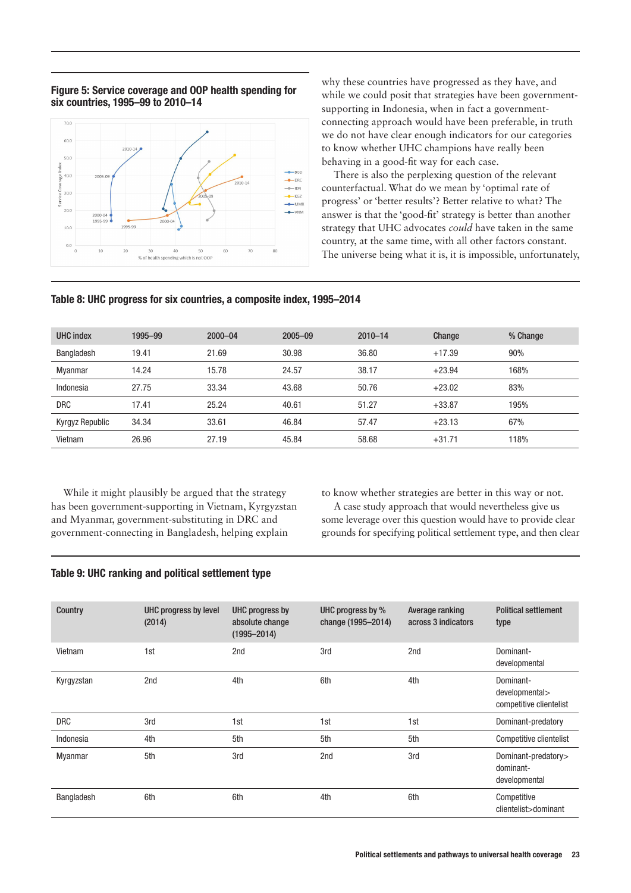#### Figure 5: Service coverage and OOP health spending for six countries, 1995–99 to 2010–14



why these countries have progressed as they have, and while we could posit that strategies have been governmentsupporting in Indonesia, when in fact a governmentconnecting approach would have been preferable, in truth we do not have clear enough indicators for our categories to know whether UHC champions have really been behaving in a good-fit way for each case.

There is also the perplexing question of the relevant counterfactual. What do we mean by 'optimal rate of progress' or 'better results'? Better relative to what? The answer is that the 'good-fit' strategy is better than another strategy that UHC advocates *could* have taken in the same country, at the same time, with all other factors constant. The universe being what it is, it is impossible, unfortunately,

#### Table 8: UHC progress for six countries, a composite index, 1995–2014

| UHC index       | 1995-99 | $2000 - 04$ | $2005 - 09$ | $2010 - 14$ | Change   | % Change |
|-----------------|---------|-------------|-------------|-------------|----------|----------|
| Bangladesh      | 19.41   | 21.69       | 30.98       | 36.80       | $+17.39$ | 90%      |
| Myanmar         | 14.24   | 15.78       | 24.57       | 38.17       | $+23.94$ | 168%     |
| Indonesia       | 27.75   | 33.34       | 43.68       | 50.76       | $+23.02$ | 83%      |
| <b>DRC</b>      | 17.41   | 25.24       | 40.61       | 51.27       | $+33.87$ | 195%     |
| Kyrgyz Republic | 34.34   | 33.61       | 46.84       | 57.47       | $+23.13$ | 67%      |
| Vietnam         | 26.96   | 27.19       | 45.84       | 58.68       | $+31.71$ | 118%     |

While it might plausibly be argued that the strategy has been government-supporting in Vietnam, Kyrgyzstan and Myanmar, government-substituting in DRC and government-connecting in Bangladesh, helping explain

to know whether strategies are better in this way or not.

A case study approach that would nevertheless give us some leverage over this question would have to provide clear grounds for specifying political settlement type, and then clear

#### Table 9: UHC ranking and political settlement type

| Country           | UHC progress by level<br>(2014) | UHC progress by<br>absolute change<br>$(1995 - 2014)$ | UHC progress by %<br>change (1995-2014) | Average ranking<br>across 3 indicators | <b>Political settlement</b><br>type                    |
|-------------------|---------------------------------|-------------------------------------------------------|-----------------------------------------|----------------------------------------|--------------------------------------------------------|
| Vietnam           | 1st                             | 2nd                                                   | 3rd                                     | 2nd                                    | Dominant-<br>developmental                             |
| Kyrgyzstan        | 2nd                             | 4th                                                   | 6th                                     | 4th                                    | Dominant-<br>developmental><br>competitive clientelist |
| <b>DRC</b>        | 3rd                             | 1st                                                   | 1st                                     | 1st                                    | Dominant-predatory                                     |
| Indonesia         | 4th                             | 5th                                                   | 5th                                     | 5th                                    | Competitive clientelist                                |
| <b>Myanmar</b>    | 5th                             | 3rd                                                   | 2nd                                     | 3rd                                    | Dominant-predatory><br>dominant-<br>developmental      |
| <b>Bangladesh</b> | 6th                             | 6th                                                   | 4th                                     | 6th                                    | Competitive<br>clientelist>dominant                    |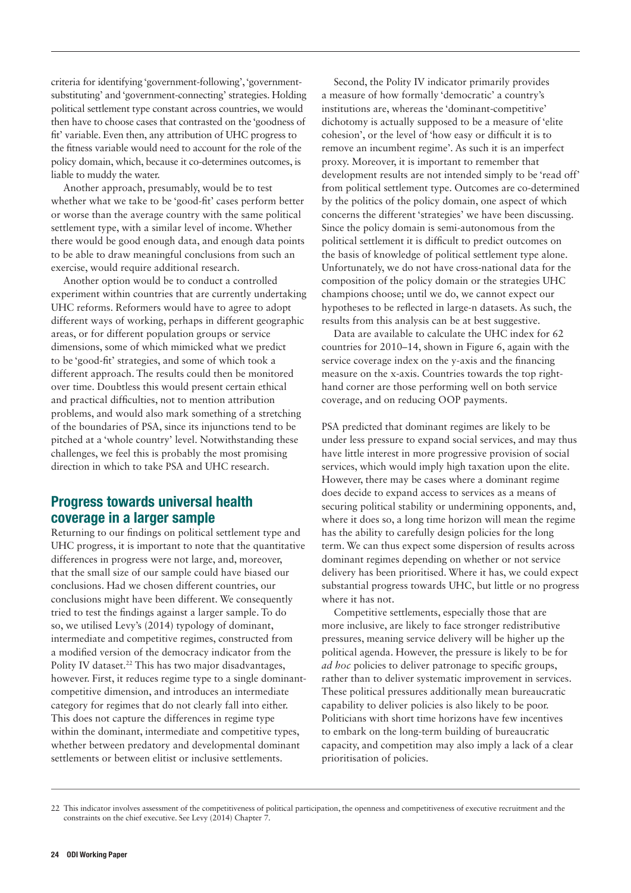criteria for identifying 'government-following', 'governmentsubstituting' and 'government-connecting' strategies. Holding political settlement type constant across countries, we would then have to choose cases that contrasted on the 'goodness of fit' variable. Even then, any attribution of UHC progress to the fitness variable would need to account for the role of the policy domain, which, because it co-determines outcomes, is liable to muddy the water.

Another approach, presumably, would be to test whether what we take to be 'good-fit' cases perform better or worse than the average country with the same political settlement type, with a similar level of income. Whether there would be good enough data, and enough data points to be able to draw meaningful conclusions from such an exercise, would require additional research.

Another option would be to conduct a controlled experiment within countries that are currently undertaking UHC reforms. Reformers would have to agree to adopt different ways of working, perhaps in different geographic areas, or for different population groups or service dimensions, some of which mimicked what we predict to be 'good-fit' strategies, and some of which took a different approach. The results could then be monitored over time. Doubtless this would present certain ethical and practical difficulties, not to mention attribution problems, and would also mark something of a stretching of the boundaries of PSA, since its injunctions tend to be pitched at a 'whole country' level. Notwithstanding these challenges, we feel this is probably the most promising direction in which to take PSA and UHC research.

# Progress towards universal health coverage in a larger sample

Returning to our findings on political settlement type and UHC progress, it is important to note that the quantitative differences in progress were not large, and, moreover, that the small size of our sample could have biased our conclusions. Had we chosen different countries, our conclusions might have been different. We consequently tried to test the findings against a larger sample. To do so, we utilised Levy's (2014) typology of dominant, intermediate and competitive regimes, constructed from a modified version of the democracy indicator from the Polity IV dataset.<sup>22</sup> This has two major disadvantages, however. First, it reduces regime type to a single dominantcompetitive dimension, and introduces an intermediate category for regimes that do not clearly fall into either. This does not capture the differences in regime type within the dominant, intermediate and competitive types, whether between predatory and developmental dominant settlements or between elitist or inclusive settlements.

Second, the Polity IV indicator primarily provides a measure of how formally 'democratic' a country's institutions are, whereas the 'dominant-competitive' dichotomy is actually supposed to be a measure of 'elite cohesion', or the level of 'how easy or difficult it is to remove an incumbent regime'. As such it is an imperfect proxy. Moreover, it is important to remember that development results are not intended simply to be 'read off' from political settlement type. Outcomes are co-determined by the politics of the policy domain, one aspect of which concerns the different 'strategies' we have been discussing. Since the policy domain is semi-autonomous from the political settlement it is difficult to predict outcomes on the basis of knowledge of political settlement type alone. Unfortunately, we do not have cross-national data for the composition of the policy domain or the strategies UHC champions choose; until we do, we cannot expect our hypotheses to be reflected in large-n datasets. As such, the results from this analysis can be at best suggestive.

Data are available to calculate the UHC index for 62 countries for 2010–14, shown in Figure 6, again with the service coverage index on the y-axis and the financing measure on the x-axis. Countries towards the top righthand corner are those performing well on both service coverage, and on reducing OOP payments.

PSA predicted that dominant regimes are likely to be under less pressure to expand social services, and may thus have little interest in more progressive provision of social services, which would imply high taxation upon the elite. However, there may be cases where a dominant regime does decide to expand access to services as a means of securing political stability or undermining opponents, and, where it does so, a long time horizon will mean the regime has the ability to carefully design policies for the long term. We can thus expect some dispersion of results across dominant regimes depending on whether or not service delivery has been prioritised. Where it has, we could expect substantial progress towards UHC, but little or no progress where it has not.

Competitive settlements, especially those that are more inclusive, are likely to face stronger redistributive pressures, meaning service delivery will be higher up the political agenda. However, the pressure is likely to be for *ad hoc* policies to deliver patronage to specific groups, rather than to deliver systematic improvement in services. These political pressures additionally mean bureaucratic capability to deliver policies is also likely to be poor. Politicians with short time horizons have few incentives to embark on the long-term building of bureaucratic capacity, and competition may also imply a lack of a clear prioritisation of policies.

<sup>22</sup> This indicator involves assessment of the competitiveness of political participation, the openness and competitiveness of executive recruitment and the constraints on the chief executive. See Levy (2014) Chapter 7.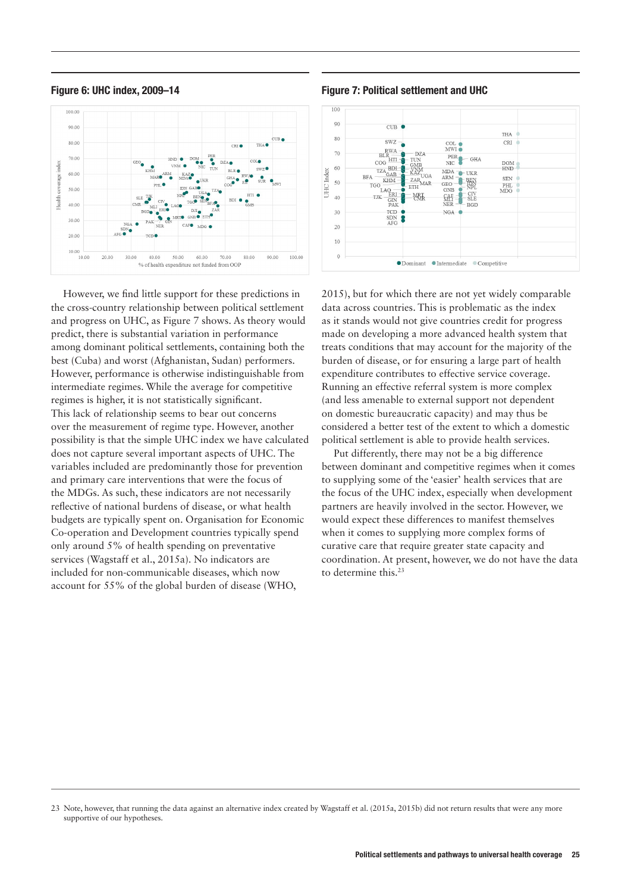



However, we find little support for these predictions in the cross-country relationship between political settlement and progress on UHC, as Figure 7 shows. As theory would predict, there is substantial variation in performance among dominant political settlements, containing both the best (Cuba) and worst (Afghanistan, Sudan) performers. However, performance is otherwise indistinguishable from intermediate regimes. While the average for competitive regimes is higher, it is not statistically significant. This lack of relationship seems to bear out concerns over the measurement of regime type. However, another possibility is that the simple UHC index we have calculated does not capture several important aspects of UHC. The variables included are predominantly those for prevention and primary care interventions that were the focus of the MDGs. As such, these indicators are not necessarily reflective of national burdens of disease, or what health budgets are typically spent on. Organisation for Economic Co-operation and Development countries typically spend only around 5% of health spending on preventative services (Wagstaff et al., 2015a). No indicators are included for non-communicable diseases, which now account for 55% of the global burden of disease (WHO,

Figure 6: UHC index, 2009–14 Figure 7: Political settlement and UHC



2015), but for which there are not yet widely comparable data across countries. This is problematic as the index as it stands would not give countries credit for progress made on developing a more advanced health system that treats conditions that may account for the majority of the burden of disease, or for ensuring a large part of health expenditure contributes to effective service coverage. Running an effective referral system is more complex (and less amenable to external support not dependent on domestic bureaucratic capacity) and may thus be considered a better test of the extent to which a domestic political settlement is able to provide health services.

Put differently, there may not be a big difference between dominant and competitive regimes when it comes to supplying some of the 'easier' health services that are the focus of the UHC index, especially when development partners are heavily involved in the sector. However, we would expect these differences to manifest themselves when it comes to supplying more complex forms of curative care that require greater state capacity and coordination. At present, however, we do not have the data to determine this.23

<sup>23</sup> Note, however, that running the data against an alternative index created by Wagstaff et al. (2015a, 2015b) did not return results that were any more supportive of our hypotheses.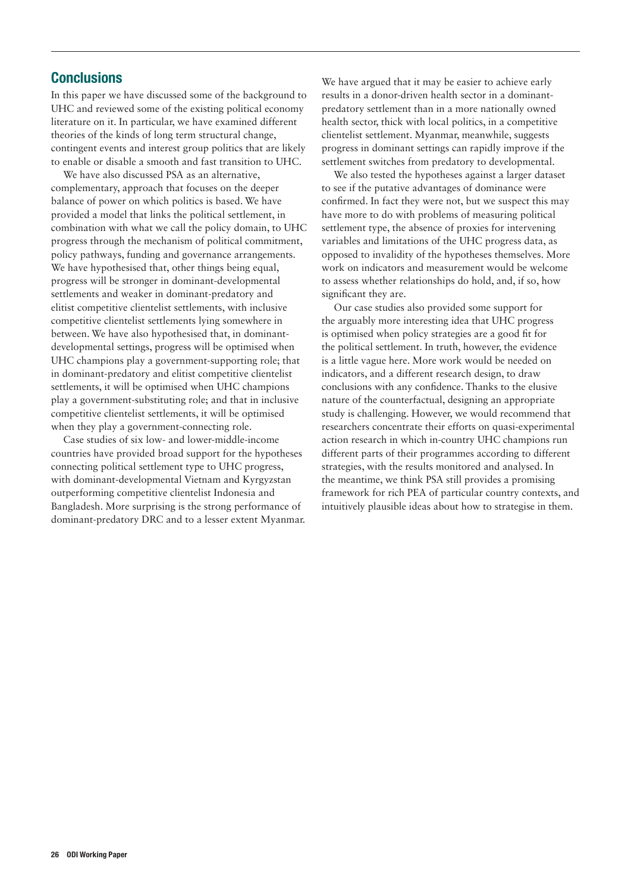## **Conclusions**

In this paper we have discussed some of the background to UHC and reviewed some of the existing political economy literature on it. In particular, we have examined different theories of the kinds of long term structural change, contingent events and interest group politics that are likely to enable or disable a smooth and fast transition to UHC.

We have also discussed PSA as an alternative. complementary, approach that focuses on the deeper balance of power on which politics is based. We have provided a model that links the political settlement, in combination with what we call the policy domain, to UHC progress through the mechanism of political commitment, policy pathways, funding and governance arrangements. We have hypothesised that, other things being equal, progress will be stronger in dominant-developmental settlements and weaker in dominant-predatory and elitist competitive clientelist settlements, with inclusive competitive clientelist settlements lying somewhere in between. We have also hypothesised that, in dominantdevelopmental settings, progress will be optimised when UHC champions play a government-supporting role; that in dominant-predatory and elitist competitive clientelist settlements, it will be optimised when UHC champions play a government-substituting role; and that in inclusive competitive clientelist settlements, it will be optimised when they play a government-connecting role.

Case studies of six low- and lower-middle-income countries have provided broad support for the hypotheses connecting political settlement type to UHC progress, with dominant-developmental Vietnam and Kyrgyzstan outperforming competitive clientelist Indonesia and Bangladesh. More surprising is the strong performance of dominant-predatory DRC and to a lesser extent Myanmar. We have argued that it may be easier to achieve early results in a donor-driven health sector in a dominantpredatory settlement than in a more nationally owned health sector, thick with local politics, in a competitive clientelist settlement. Myanmar, meanwhile, suggests progress in dominant settings can rapidly improve if the settlement switches from predatory to developmental.

We also tested the hypotheses against a larger dataset to see if the putative advantages of dominance were confirmed. In fact they were not, but we suspect this may have more to do with problems of measuring political settlement type, the absence of proxies for intervening variables and limitations of the UHC progress data, as opposed to invalidity of the hypotheses themselves. More work on indicators and measurement would be welcome to assess whether relationships do hold, and, if so, how significant they are.

Our case studies also provided some support for the arguably more interesting idea that UHC progress is optimised when policy strategies are a good fit for the political settlement. In truth, however, the evidence is a little vague here. More work would be needed on indicators, and a different research design, to draw conclusions with any confidence. Thanks to the elusive nature of the counterfactual, designing an appropriate study is challenging. However, we would recommend that researchers concentrate their efforts on quasi-experimental action research in which in-country UHC champions run different parts of their programmes according to different strategies, with the results monitored and analysed. In the meantime, we think PSA still provides a promising framework for rich PEA of particular country contexts, and intuitively plausible ideas about how to strategise in them.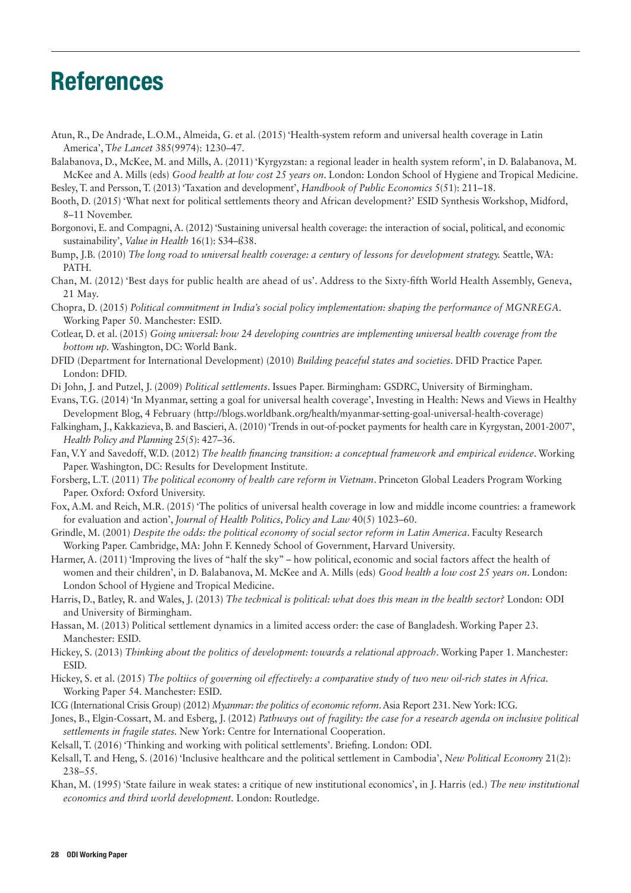# References

- Atun, R., De Andrade, L.O.M., Almeida, G. et al. (2015) 'Health-system reform and universal health coverage in Latin America', T*he Lancet* 385(9974): 1230–47.
- Balabanova, D., McKee, M. and Mills, A. (2011) 'Kyrgyzstan: a regional leader in health system reform', in D. Balabanova, M. McKee and A. Mills (eds) *Good health at low cost 25 years on*. London: London School of Hygiene and Tropical Medicine.

Besley, T. and Persson, T. (2013) 'Taxation and development', *Handbook of Public Economics* 5(51): 211–18.

- Booth, D. (2015) 'What next for political settlements theory and African development?' ESID Synthesis Workshop, Midford, 8–11 November.
- Borgonovi, E. and Compagni, A. (2012) 'Sustaining universal health coverage: the interaction of social, political, and economic sustainability', *Value in Health* 16(1): S34–ß38.

Bump, J.B. (2010) *The long road to universal health coverage: a century of lessons for development strategy.* Seattle, WA: PATH.

- Chan, M. (2012) 'Best days for public health are ahead of us'. Address to the Sixty-fifth World Health Assembly, Geneva, 21 May.
- Chopra, D. (2015) *Political commitment in India's social policy implementation: shaping the performance of MGNREGA*. Working Paper 50. Manchester: ESID.
- Cotlear, D. et al. (2015) *Going universal: how 24 developing countries are implementing universal health coverage from the bottom up.* Washington, DC: World Bank.
- DFID (Department for International Development) (2010) *Building peaceful states and societies.* DFID Practice Paper. London: DFID.
- Di John, J. and Putzel, J. (2009) *Political settlements*. Issues Paper. Birmingham: GSDRC, University of Birmingham.
- Evans, T.G. (2014) 'In Myanmar, setting a goal for universal health coverage', Investing in Health: News and Views in Healthy Development Blog, 4 February (http://blogs.worldbank.org/health/myanmar-setting-goal-universal-health-coverage)
- Falkingham, J., Kakkazieva, B. and Bascieri, A. (2010) 'Trends in out-of-pocket payments for health care in Kyrgystan, 2001-2007', *Health Policy and Planning* 25(5): 427–36.
- Fan, V.Y and Savedoff, W.D. (2012) *The health financing transition: a conceptual framework and empirical evidence*. Working Paper. Washington, DC: Results for Development Institute.
- Forsberg, L.T. (2011) *The political economy of health care reform in Vietnam*. Princeton Global Leaders Program Working Paper. Oxford: Oxford University.
- Fox, A.M. and Reich, M.R. (2015) 'The politics of universal health coverage in low and middle income countries: a framework for evaluation and action', *Journal of Health Politics, Policy and Law* 40(5) 1023–60.
- Grindle, M. (2001) *Despite the odds: the political economy of social sector reform in Latin America*. Faculty Research Working Paper. Cambridge, MA: John F. Kennedy School of Government, Harvard University.
- Harmer, A. (2011) 'Improving the lives of "half the sky" how political, economic and social factors affect the health of women and their children', in D. Balabanova, M. McKee and A. Mills (eds) *Good health a low cost 25 years on*. London: London School of Hygiene and Tropical Medicine.
- Harris, D., Batley, R. and Wales, J. (2013) *The technical is political: what does this mean in the health sector?* London: ODI and University of Birmingham.
- Hassan, M. (2013) Political settlement dynamics in a limited access order: the case of Bangladesh. Working Paper 23. Manchester: ESID.
- Hickey, S. (2013) *Thinking about the politics of development: towards a relational approach*. Working Paper 1. Manchester: ESID.
- Hickey, S. et al. (2015) *The poltiics of governing oil effectively: a comparative study of two new oil-rich states in Africa*. Working Paper 54. Manchester: ESID.
- ICG (International Crisis Group) (2012) *Myanmar: the politics of economic reform*. Asia Report 231. New York: ICG.
- Jones, B., Elgin-Cossart, M. and Esberg, J. (2012) *Pathways out of fragility: the case for a research agenda on inclusive political settlements in fragile states.* New York: Centre for International Cooperation.
- Kelsall, T. (2016) 'Thinking and working with political settlements'. Briefing. London: ODI.
- Kelsall, T. and Heng, S. (2016) 'Inclusive healthcare and the political settlement in Cambodia', *New Political Economy* 21(2): 238–55.
- Khan, M. (1995) 'State failure in weak states: a critique of new institutional economics', in J. Harris (ed.) *The new institutional economics and third world development.* London: Routledge.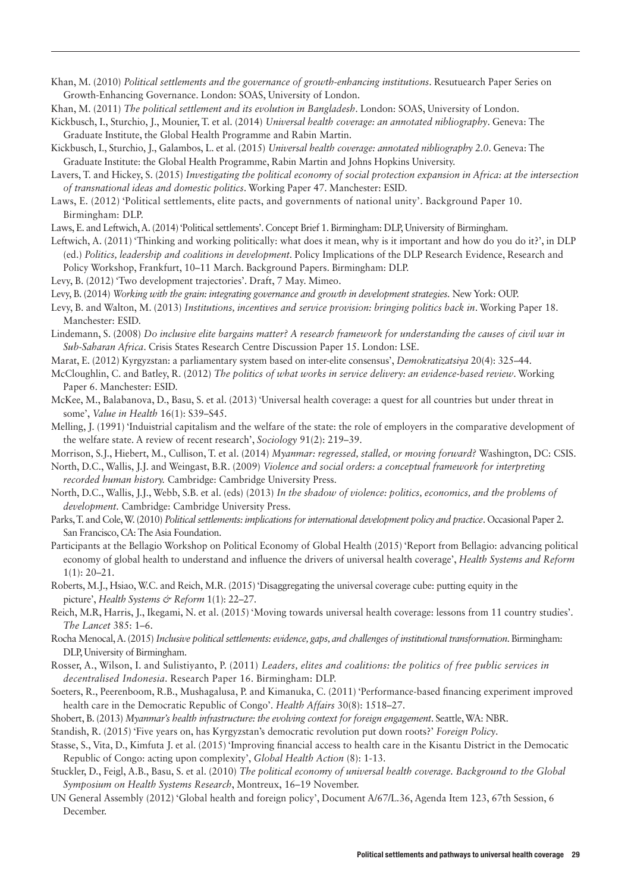Khan, M. (2010) *Political settlements and the governance of growth-enhancing institutions*. Resutuearch Paper Series on Growth-Enhancing Governance. London: SOAS, University of London.

Khan, M. (2011) *The political settlement and its evolution in Bangladesh*. London: SOAS, University of London.

Kickbusch, I., Sturchio, J., Mounier, T. et al. (2014) *Universal health coverage: an annotated nibliography*. Geneva: The Graduate Institute, the Global Health Programme and Rabin Martin.

Kickbusch, I., Sturchio, J., Galambos, L. et al. (2015) *Universal health coverage: annotated nibliography 2.0*. Geneva: The Graduate Institute: the Global Health Programme, Rabin Martin and Johns Hopkins University.

Lavers, T. and Hickey, S. (2015) *Investigating the political economy of social protection expansion in Africa: at the intersection of transnational ideas and domestic politics*. Working Paper 47. Manchester: ESID.

Laws, E. (2012) 'Political settlements, elite pacts, and governments of national unity'. Background Paper 10. Birmingham: DLP.

Laws, E. and Leftwich, A. (2014) 'Political settlements'. Concept Brief 1. Birmingham: DLP, University of Birmingham.

Leftwich, A. (2011) 'Thinking and working politically: what does it mean, why is it important and how do you do it?', in DLP (ed.) *Politics, leadership and coalitions in development.* Policy Implications of the DLP Research Evidence, Research and Policy Workshop, Frankfurt, 10–11 March. Background Papers. Birmingham: DLP.

Levy, B. (2012) 'Two development trajectories'. Draft, 7 May. Mimeo.

Levy, B. (2014) *Working with the grain: integrating governance and growth in development strategies.* New York: OUP.

Levy, B. and Walton, M. (2013) *Institutions, incentives and service provision: bringing politics back in*. Working Paper 18. Manchester: ESID.

Lindemann, S. (2008) *Do inclusive elite bargains matter? A research framework for understanding the causes of civil war in Sub-Saharan Africa*. Crisis States Research Centre Discussion Paper 15. London: LSE.

- Marat, E. (2012) Kyrgyzstan: a parliamentary system based on inter-elite consensus', *Demokratizatsiya* 20(4): 325–44.
- McCloughlin, C. and Batley, R. (2012) *The politics of what works in service delivery: an evidence-based review*. Working Paper 6. Manchester: ESID.
- McKee, M., Balabanova, D., Basu, S. et al. (2013) 'Universal health coverage: a quest for all countries but under threat in some', *Value in Health* 16(1): S39–S45.
- Melling, J. (1991) 'Induistrial capitalism and the welfare of the state: the role of employers in the comparative development of the welfare state. A review of recent research', *Sociology* 91(2): 219–39.

Morrison, S.J., Hiebert, M., Cullison, T. et al. (2014) *Myanmar: regressed, stalled, or moving forward?* Washington, DC: CSIS.

North, D.C., Wallis, J.J. and Weingast, B.R. (2009) *Violence and social orders: a conceptual framework for interpreting recorded human history.* Cambridge: Cambridge University Press.

North, D.C., Wallis, J.J., Webb, S.B. et al. (eds) (2013) *In the shadow of violence: politics, economics, and the problems of development.* Cambridge: Cambridge University Press.

Parks, T. and Cole, W. (2010) *Political settlements: implications for international development policy and practice*. Occasional Paper 2. San Francisco, CA: The Asia Foundation.

- Participants at the Bellagio Workshop on Political Economy of Global Health (2015) 'Report from Bellagio: advancing political economy of global health to understand and influence the drivers of universal health coverage', *Health Systems and Reform* 1(1): 20–21.
- Roberts, M.J., Hsiao, W.C. and Reich, M.R. (2015) 'Disaggregating the universal coverage cube: putting equity in the picture', *Health Systems & Reform* 1(1): 22–27.
- Reich, M.R, Harris, J., Ikegami, N. et al. (2015) 'Moving towards universal health coverage: lessons from 11 country studies'. *The Lancet* 385: 1–6.
- Rocha Menocal, A. (2015) *Inclusive political settlements: evidence, gaps, and challenges of institutional transformation*. Birmingham: DLP, University of Birmingham.

Rosser, A., Wilson, I. and Sulistiyanto, P. (2011) *Leaders, elites and coalitions: the politics of free public services in decentralised Indonesia*. Research Paper 16. Birmingham: DLP.

- Soeters, R., Peerenboom, R.B., Mushagalusa, P. and Kimanuka, C. (2011) 'Performance-based financing experiment improved health care in the Democratic Republic of Congo'. *Health Affairs* 30(8): 1518–27.
- Shobert, B. (2013) *Myanmar's health infrastructure: the evolving context for foreign engagement*. Seattle, WA: NBR.

Standish, R. (2015) 'Five years on, has Kyrgyzstan's democratic revolution put down roots?' *Foreign Policy*.

Stasse, S., Vita, D., Kimfuta J. et al. (2015) 'Improving financial access to health care in the Kisantu District in the Democatic Republic of Congo: acting upon complexity', *Global Health Action* (8): 1-13.

- Stuckler, D., Feigl, A.B., Basu, S. et al. (2010) *The political economy of universal health coverage. Background to the Global Symposium on Health Systems Research*, Montreux, 16–19 November.
- UN General Assembly (2012) 'Global health and foreign policy', Document A/67/L.36, Agenda Item 123, 67th Session, 6 December.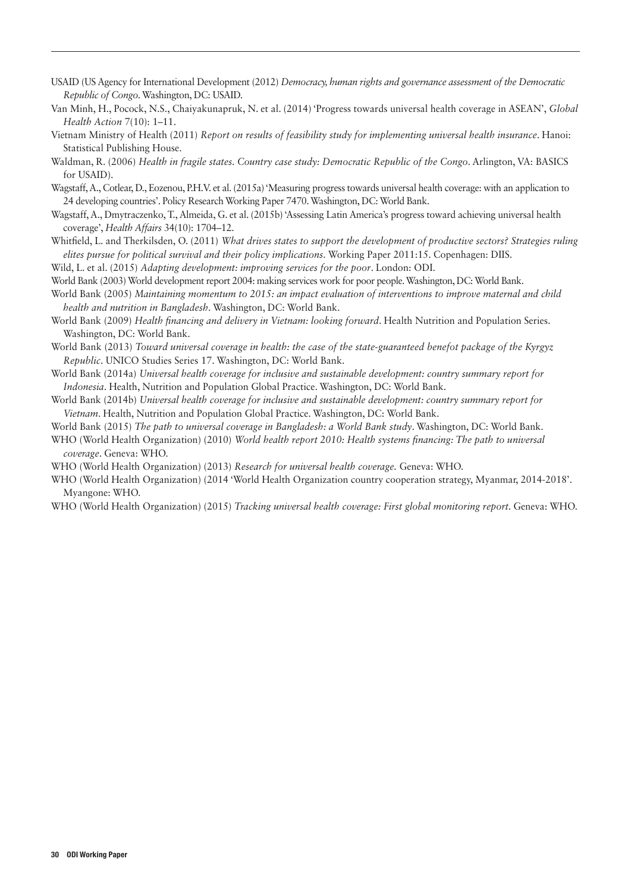- USAID (US Agency for International Development (2012) *Democracy, human rights and governance assessment of the Democratic Republic of Congo*. Washington, DC: USAID.
- Van Minh, H., Pocock, N.S., Chaiyakunapruk, N. et al. (2014) 'Progress towards universal health coverage in ASEAN', *Global Health Action* 7(10): 1–11.
- Vietnam Ministry of Health (2011) *Report on results of feasibility study for implementing universal health insurance*. Hanoi: Statistical Publishing House.
- Waldman, R. (2006) *Health in fragile states. Country case study: Democratic Republic of the Congo*. Arlington, VA: BASICS for USAID).
- Wagstaff, A., Cotlear, D., Eozenou, P.H.V. et al. (2015a) 'Measuring progress towards universal health coverage: with an application to 24 developing countries'. Policy Research Working Paper 7470. Washington, DC: World Bank.
- Wagstaff, A., Dmytraczenko, T., Almeida, G. et al. (2015b) 'Assessing Latin America's progress toward achieving universal health coverage', *Health Affairs* 34(10): 1704–12.
- Whitfield, L. and Therkilsden, O. (2011) *What drives states to support the development of productive sectors? Strategies ruling elites pursue for political survival and their policy implications.* Working Paper 2011:15. Copenhagen: DIIS.

Wild, L. et al. (2015) *Adapting development: improving services for the poor*. London: ODI.

World Bank (2003) World development report 2004: making services work for poor people. Washington, DC: World Bank.

- World Bank (2005) *Maintaining momentum to 2015: an impact evaluation of interventions to improve maternal and child health and nutrition in Bangladesh*. Washington, DC: World Bank.
- World Bank (2009) *Health financing and delivery in Vietnam: looking forward*. Health Nutrition and Population Series. Washington, DC: World Bank.
- World Bank (2013) *Toward universal coverage in health: the case of the state-guaranteed benefot package of the Kyrgyz Republic*. UNICO Studies Series 17. Washington, DC: World Bank.
- World Bank (2014a) *Universal health coverage for inclusive and sustainable development: country summary report for Indonesia*. Health, Nutrition and Population Global Practice. Washington, DC: World Bank.
- World Bank (2014b) *Universal health coverage for inclusive and sustainable development: country summary report for Vietnam*. Health, Nutrition and Population Global Practice. Washington, DC: World Bank.

World Bank (2015) *The path to universal coverage in Bangladesh: a World Bank study*. Washington, DC: World Bank.

WHO (World Health Organization) (2010) *World health report 2010: Health systems financing: The path to universal coverage*. Geneva: WHO.

- WHO (World Health Organization) (2013) *Research for universal health coverage.* Geneva: WHO.
- WHO (World Health Organization) (2014 'World Health Organization country cooperation strategy, Myanmar, 2014-2018'. Myangone: WHO.
- WHO (World Health Organization) (2015) *Tracking universal health coverage: First global monitoring report*. Geneva: WHO.